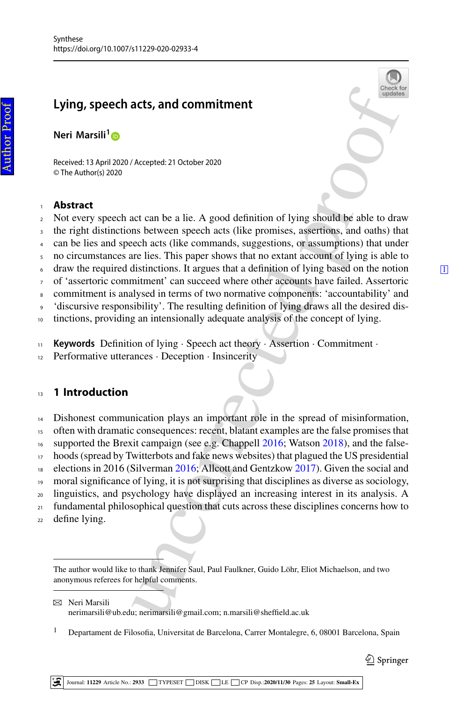# **Lying, speech acts, and commitment**

**Neri Marsili[1](http://orcid.org/0000-0001-7853-7359)**

<span id="page-0-4"></span>Received: 13 April 2020 / Accepted: 21 October 2020 © The Author(s) 2020

### <sup>1</sup> **Abstract**

- <sup>2</sup> Not every speech act can be a lie. A good definition of lying should be able to draw
- <span id="page-0-5"></span><sup>3</sup> the right distinctions between speech acts (like promises, assertions, and oaths) that
- <sup>4</sup> can be lies and speech acts (like commands, suggestions, or assumptions) that under
- <sup>5</sup> no circumstances are lies. This paper shows that no extant account of lying is able to
- <span id="page-0-6"></span> $\epsilon$  draw the required distinctions. It argues that a definition of lying based on the notion  $\Box$
- <span id="page-0-0"></span><sup>7</sup> of 'assertoric commitment' can succeed where other accounts have failed. Assertoric
- <sup>8</sup> commitment is analysed in terms of two normative components: 'accountability' and
- <span id="page-0-7"></span><sup>9</sup> 'discursive responsibility'. The resulting definition of lying draws all the desired dis-
- <sup>10</sup> tinctions, providing an intensionally adequate analysis of the concept of lying.
- <span id="page-0-8"></span><sup>11</sup> **Keywords** Definition of lying · Speech act theory · Assertion · Commitment ·
- <span id="page-0-1"></span><sup>12</sup> Performative utterances · Deception · Insincerity

## <sup>13</sup> **1 Introduction**

- <span id="page-0-3"></span>acts, and commitment<br>
<sup>Shack</sup><br>
<sup>Shack</sup><br>
Accepted: 21 October 2020<br>
act can be a lie. A good de[f](http://crossmark.crossref.org/dialog/?doi=10.1007/s11229-020-02933-4&domain=pdf)inition of lying should be able to dras<br>
ans between speech acts (like promises, assertions, and oaths) that under<br>
lie is This <sup>14</sup> Dishonest communication plays an important role in the spread of misinformation, <sup>15</sup> often with dramatic consequences: recent, blatant examples are the false promises that <sup>16</sup> supported the Brexit campaign (see e.g. Chappell 2016; Watson [2018\)](#page-23-0), and the false-<sup>17</sup> hoods (spread by Twitterbots and fake news websites) that plagued the US presidential 18 elections in 2016 (Silverman 2016; Allcott and Gentzkow 2017). Given the social and <sup>19</sup> moral significance of lying, it is not surprising that disciplines as diverse as sociology, <sup>20</sup> linguistics, and psychology have displayed an increasing interest in its analysis. A <sup>21</sup> fundamental philosophical question that cuts across these disciplines concerns how to
- <span id="page-0-2"></span><sup>22</sup> define lying.

 $\boxtimes$  Neri Marsili nerimarsili@ub.edu; nerimarsili@gmail.com; n.marsili@sheffield.ac.uk

<sup>1</sup> Departament de Filosofia, Universitat de Barcelona, Carrer Montalegre, 6, 08001 Barcelona, Spain

The author would like to thank Jennifer Saul, Paul Faulkner, Guido Löhr, Eliot Michaelson, and two anonymous referees for helpful comments.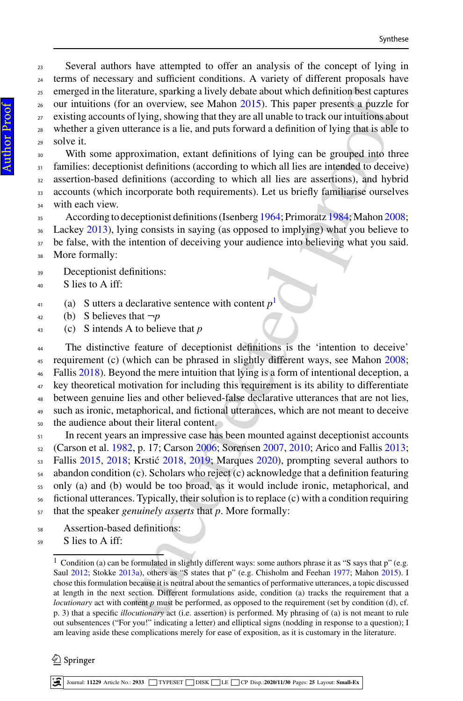Several authors have attempted to offer an analysis of the concept of lying in terms of necessary and sufficient conditions. A variety of different proposals have emerged in the literature, sparking a lively debate about which definition best captures our intuitions (for an overview, see Mahon [2015\)](#page-22-1). This paper presents a puzzle for <sup>27</sup> existing accounts of lying, showing that they are all unable to track our intuitions about whether a given utterance is a lie, and puts forward a definition of lying that is able to solve it.

 With some approximation, extant definitions of lying can be grouped into three families: deceptionist definitions (according to which all lies are intended to deceive) assertion-based definitions (according to which all lies are assertions), and hybrid accounts (which incorporate both requirements). Let us briefly familiarise ourselves with each view.

<sup>35</sup> According to deceptionist definitions (Isenberg [1964;](#page-22-2) Primoratz 1984; Mahon [2008;](#page-22-3)

Lackey [2013\)](#page-22-4), lying consists in saying (as opposed to implying) what you believe to

- <sup>37</sup> be false, with the intention of deceiving your audience into believing what you said. More formally:
- Deceptionist definitions:
- S lies to A iff:
- (a) S utters a declarative sentence with content  $p<sup>1</sup>$
- 42 (b) S believes that  $\neg p$
- (c) S intends A to believe that *p*

mature, sparking a lively debate about which definition lest capture<br>an overview, see Mahon 2015). This paper [pr](#page-23-2)esents as puzzle if<br> $\theta$  lying, showing that they are all unable to track our intuitions abo<br>reance is a lie, The distinctive feature of deceptionist definitions is the 'intention to deceive' requirement (c) (which can be phrased in slightly different ways, see Mahon [2008;](#page-22-3) Fallis [2018\)](#page-21-2). Beyond the mere intuition that lying is a form of intentional deception, a key theoretical motivation for including this requirement is its ability to differentiate between genuine lies and other believed-false declarative utterances that are not lies, such as ironic, metaphorical, and fictional utterances, which are not meant to deceive the audience about their literal content.

 $\mathbf{S}_1$  In recent years an impressive case has been mounted against deceptionist accounts (Carson et al. [1982,](#page-21-3) p. 17; Carson 2006; Sorensen 2007, 2010; Arico and Fallis [2013;](#page-21-5) Fallis [2015,](#page-21-6) [2018;](#page-21-2) Krstić 2018, 2019; Marques 2020), prompting several authors to abandon condition (c). Scholars who reject (c) acknowledge that a definition featuring only (a) and (b) would be too broad, as it would include ironic, metaphorical, and fictional utterances. Typically, their solution is to replace (c) with a condition requiring that the speaker *genuinely asserts* that *p*. More formally:

Assertion-based definitions:

S lies to A iff:

 $\textcircled{2}$  Springer

<span id="page-1-0"></span><sup>&</sup>lt;sup>1</sup> Condition (a) can be formulated in slightly different ways: some authors phrase it as "S says that p" (e.g. Saul [2012;](#page-23-5) Stokke [2013a\)](#page-23-6), others as "S states that p" (e.g. Chisholm and Feehan [1977;](#page-21-7) Mahon [2015\)](#page-22-1). I chose this formulation because it is neutral about the semantics of performative utterances, a topic discussed at length in the next section. Different formulations aside, condition (a) tracks the requirement that a *locutionary* act with content *p* must be performed, as opposed to the requirement (set by condition (d), cf. p. 3) that a specific *illocutionary* act (i.e. assertion) is performed. My phrasing of (a) is not meant to rule out subsentences ("For you!" indicating a letter) and elliptical signs (nodding in response to a question); I am leaving aside these complications merely for ease of exposition, as it is customary in the literature.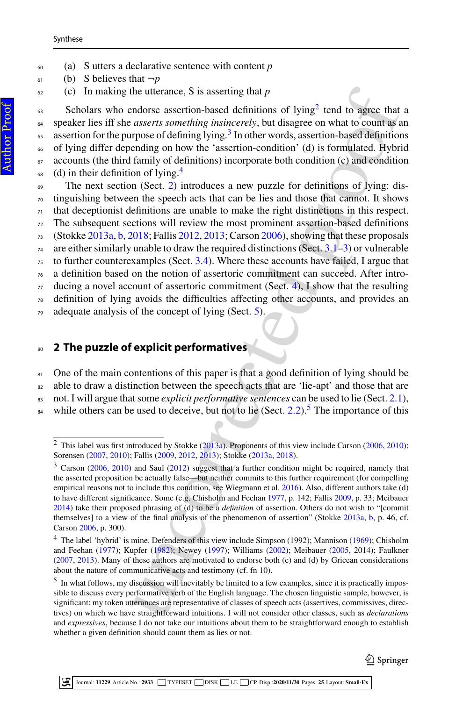- <sup>60</sup> (a) S utters a declarative sentence with content *p*
- $\epsilon_1$  (b) S believes that  $\neg p$
- <sup>62</sup> (c) In making the utterance, S is asserting that *p*

the utera[nc](#page-22-10)e, S is asse[r](#page-23-6)ting that  $p$ <br>
and the dustre asserting band [o](#page-23-5)f hying<sup>2</sup> t[e](#page-16-0)n[d](#page-13-0) to agree that<br>
adsserts something instincerely, but disagree on what to count as<br>
asserts something instincerely, but disagree on what  $\epsilon$ <sub>63</sub> Scholars who endorse assertion-based definitions of lying<sup>2</sup> tend to agree that a <sup>64</sup> speaker lies iff she *asserts something insincerely*, but disagree on what to count as an  $\frac{1}{2}$  assertion for the purpose of defining lying.<sup>3</sup> In other words, assertion-based definitions <sup>66</sup> of lying differ depending on how the 'assertion-condition' (d) is formulated. Hybrid  $67$  accounts (the third family of definitions) incorporate both condition (c) and condition  $\epsilon_{88}$  (d) in their definition of lying.<sup>[4](#page-2-2)</sup>

- $\epsilon_{\theta}$  The next section (Sect. [2\)](#page-2-3) introduces a new puzzle for definitions of lying: dis- $\pi$ <sup>0</sup> tinguishing between the speech acts that can be lies and those that cannot. It shows  $71$  that deceptionist definitions are unable to make the right distinctions in this respect.
- $72$  The subsequent sections will review the most prominent assertion-based definitions
- $73$  (Stokke [2013a,](#page-23-6) [b,](#page-23-7) [2018;](#page-23-8) Fallis [2012,](#page-21-8) [2013;](#page-21-9) Carson [2006\)](#page-21-4), showing that these proposals
- $74$  are either similarly unable to draw the required distinctions (Sect. 3.1–3) or vulnerable
- $75$  to further counterexamples (Sect. [3.4\)](#page-11-0). Where these accounts have failed, I argue that
- <sup>76</sup> a definition based on the notion of assertoric commitment can succeed. After intro-
- $\pi$  ducing a novel account of assertoric commitment (Sect. 4), I show that the resulting
- <sup>78</sup> definition of lying avoids the difficulties affecting other accounts, and provides an
- <sup>79</sup> adequate analysis of the concept of lying (Sect. 5).

## <span id="page-2-3"></span><sup>80</sup> **2 The puzzle of explicit performatives**

- 81 One of the main contentions of this paper is that a good definition of lying should be <sup>82</sup> able to draw a distinction between the speech acts that are 'lie-apt' and those that are
- <sup>83</sup> not. I will argue that some *explicit performative sentences* can be used to lie (Sect. [2.1\)](#page-3-0),
- <sup>84</sup> while others can be used to deceive, but not to lie (Sect. 2.2).<sup>5</sup> The importance of this

 $\mathcal{Q}$  Springer

<span id="page-2-0"></span><sup>&</sup>lt;sup>2</sup> This label was first introduced by Stokke  $(2013a)$ . Proponents of this view include Carson  $(2006, 2010)$  $(2006, 2010)$  $(2006, 2010)$ ; Sorensen [\(2007,](#page-23-3) [2010\)](#page-23-4); Fallis (2009, 2012, 2013); Stokke (2013a, 2018).

<span id="page-2-1"></span><sup>&</sup>lt;sup>3</sup> Carson [\(2006,](#page-21-4) [2010\)](#page-21-10) and Saul (2012) suggest that a further condition might be required, namely that the asserted proposition be actually false—but neither commits to this further requirement (for compelling empirical reasons not to include this condition, see Wiegmann et al. 2016). Also, different authors take (d) to have different significance. Some (e.g. Chisholm and Feehan 1977, p. 142; Fallis [2009,](#page-21-11) p. 33; Meibauer [2014\)](#page-22-8) take their proposed phrasing of (d) to be a *definition* of assertion. Others do not wish to "[commit themselves] to a view of the final analysis of the phenomenon of assertion" (Stokke [2013a,](#page-23-6) [b,](#page-23-7) p. 46, cf. Carson [2006,](#page-21-4) p. 300).

<span id="page-2-2"></span><sup>&</sup>lt;sup>4</sup> The label 'hybrid' is mine. Defenders of this view include Simpson (1992); Mannison [\(1969\)](#page-22-9); Chisholm and Feehan [\(1977\)](#page-21-7); Kupfer (1982); Newey (1997); Williams (2002); Meibauer [\(2005,](#page-22-12) 2014); Faulkner [\(2007,](#page-21-12) [2013\)](#page-21-13). Many of these authors are motivated to endorse both (c) and (d) by Gricean considerations about the nature of communicative acts and testimony (cf. fn 10).

<span id="page-2-4"></span> $<sup>5</sup>$  In what follows, my discussion will inevitably be limited to a few examples, since it is practically impos-</sup> sible to discuss every performative verb of the English language. The chosen linguistic sample, however, is significant: my token utterances are representative of classes of speech acts (assertives, commissives, directives) on which we have straightforward intuitions. I will not consider other classes, such as *declarations* and *expressives*, because I do not take our intuitions about them to be straightforward enough to establish whether a given definition should count them as lies or not.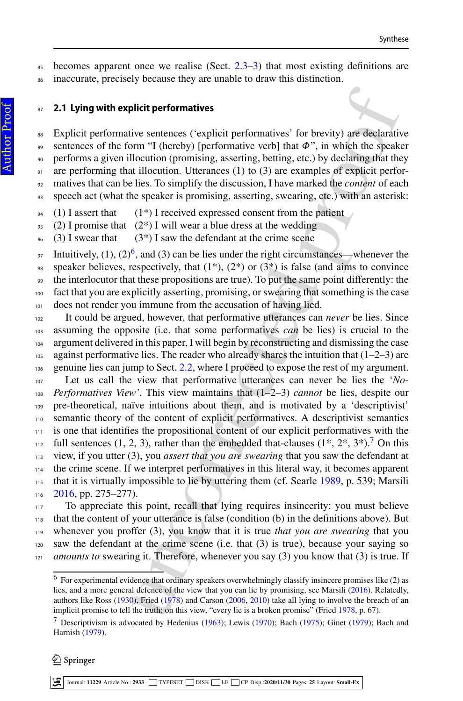$\frac{1}{85}$  becomes apparent once we realise (Sect. [2.3](#page-6-0)[–3\)](#page-7-1) that most existing definitions are <sup>86</sup> inaccurate, precisely because they are unable to draw this distinction.

### <sup>87</sup> **2.1 Lying with explicit performatives**

 Explicit performative sentences ('explicit performatives' for brevity) are declarative 89 sentences of the form "I (hereby) [performative verb] that  $\Phi$ ", in which the speaker performs a given illocution (promising, asserting, betting, etc.) by declaring that they are performing that illocution. Utterances (1) to (3) are examples of explicit perfor- matives that can be lies. To simplify the discussion, I have marked the *content* of each speech act (what the speaker is promising, asserting, swearing, etc.) with an asterisk:

- $94$  (1) I assert that (1\*) I received expressed consent from the patient
- 95 (2) I promise that  $(2^*)$  I will wear a blue dress at the wedding
- 96 (3) I swear that (3\*) I saw the defendant at the crime scene

Intuitively, (1), (2)<sup>[6](#page-3-1)</sup>, and (3) can be lies under the right circumstances—whenever the <sup>98</sup> speaker believes, respectively, that  $(1^*)$ ,  $(2^*)$  or  $(3^*)$  is false (and aims to convince <sup>99</sup> the interlocutor that these propositions are true). To put the same point differently: the <sup>100</sup> fact that you are explicitly asserting, promising, or swearing that something is the case <sup>101</sup> does not render you immune from the accusation of having lied.

<span id="page-3-0"></span>**slicit performatives**<br>
ive sentences ('explicit performatives' for brevity) are declaratiom<br>
inm "I (hereby) [performative verb] that  $\phi$ ", in which the speak<br>
loc[u](#page-21-14)tion (promising, asserting, betting, etc.) by declaring It could be argued, however, that performative utterances can *never* be lies. Since assuming the opposite (i.e. that some performatives *can* be lies) is crucial to the argument delivered in this paper, I will begin by reconstructing and dismissing the case 105 against performative lies. The reader who already shares the intuition that  $(1–2–3)$  are genuine lies can jump to Sect. 2.2, where I proceed to expose the rest of my argument. Let us call the view that performative utterances can never be lies the '*No*- *Performatives View'*. This view maintains that (1–2–3) *cannot* be lies, despite our pre-theoretical, naïve intuitions about them, and is motivated by a 'descriptivist' semantic theory of the content of explicit performatives. A descriptivist semantics <sup>111</sup> is one that identifies the propositional content of our explicit performatives with the <sup>112</sup> full sentences (1, 2, 3), rather than the embedded that-clauses (1<sup>\*</sup>, 2<sup>\*</sup>, 3<sup>\*</sup>).<sup>[7](#page-3-2)</sup> On this view, if you utter (3), you *assert that you are swearing* that you saw the defendant at the crime scene. If we interpret performatives in this literal way, it becomes apparent that it is virtually impossible to lie by uttering them (cf. Searle [1989,](#page-23-9) p. 539; Marsili [2016,](#page-22-13) pp. 275–277).

 To appreciate this point, recall that lying requires insincerity: you must believe that the content of your utterance is false (condition (b) in the definitions above). But whenever you proffer (3), you know that it is true *that you are swearing* that you saw the defendant at the crime scene (i.e. that  $(3)$  is true), because your saying so <sup>121</sup> *amounts to* swearing it. Therefore, whenever you say (3) you know that (3) is true. If

### $\textcircled{2}$  Springer

Journal: **11229** Article No.: **2933** TYPESET DISK LE CP Disp.:**2020/11/30** Pages: **[25](#page-22-0)** Layout: **Small-Ex**

<span id="page-3-1"></span> $6$  For experimental evidence that ordinary speakers overwhelmingly classify insincere promises like (2) as lies, and a more general defence of the view that you can lie by promising, see Marsili [\(2016\)](#page-22-13). Relatedly, authors like Ross [\(1930\)](#page-23-10), Fried (1978) and Carson (2006, 2010) take all lying to involve the breach of an implicit promise to tell the truth; on this view, "every lie is a broken promise" (Fried [1978,](#page-21-14) p. 67).

<span id="page-3-2"></span><sup>&</sup>lt;sup>7</sup> Descriptivism is advocated by Hedenius [\(1963\)](#page-22-14); Lewis [\(1970\)](#page-22-15); Bach [\(1975\)](#page-21-15); Ginet [\(1979\)](#page-21-16); Bach and Harnish [\(1979\)](#page-21-17).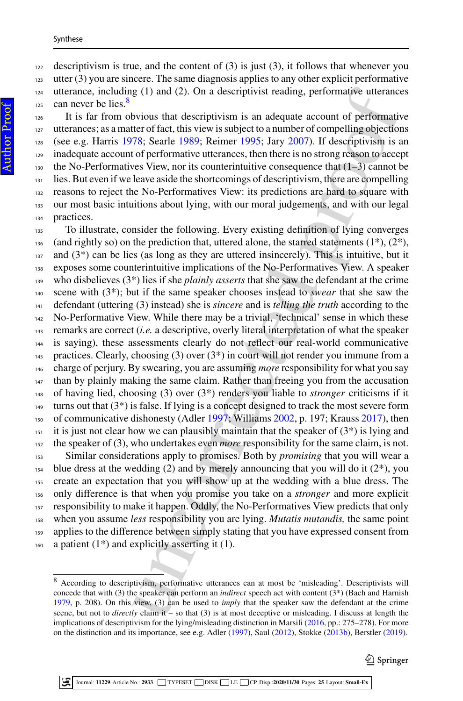#### Synthese

 descriptivism is true, and the content of (3) is just (3), it follows that whenever you utter (3) you are sincere. The same diagnosis applies to any other explicit performative

 utterance, including (1) and (2). On a descriptivist reading, performative utterances  $_{125}$  can never be lies.<sup>8</sup>

 It is far from obvious that descriptivism is an adequate account of performative utterances; as a matter of fact, this view is subject to a number of compelling objections 128 (see e.g. Harris [1978;](#page-22-16) Searle [1989;](#page-23-9) Reimer [1995;](#page-23-11) Jary [2007\)](#page-22-17). If descriptivism is an inadequate account of performative utterances, then there is no strong reason to accept the No-Performatives View, nor its counterintuitive consequence that  $(1-3)$  cannot be <sup>131</sup> lies. But even if we leave aside the shortcomings of descriptivism, there are compelling reasons to reject the No-Performatives View: its predictions are hard to square with our most basic intuitions about lying, with our moral judgements, and with our legal practices.

g (1) and (2). On a descriptivist [re](#page-21-18)ading, performative utterance<br>vious that descriptivism is an adequate account of performative<br>clusters of fact, this view is subject to a number of compelling object<br>for 378; Searle 198 To illustrate, consider the following. Every existing definition of lying converges (and rightly so) on the prediction that, uttered alone, the starred statements  $(1^*)$ ,  $(2^*)$ , and  $(3^*)$  can be lies (as long as they are uttered insincerely). This is intuitive, but it exposes some counterintuitive implications of the No-Performatives View. A speaker who disbelieves (3\*) lies if she *plainly asserts* that she saw the defendant at the crime scene with (3\*); but if the same speaker chooses instead to *swear* that she saw the defendant (uttering (3) instead) she is *sincere* and is *telling the truth* according to the No-Performative View. While there may be a trivial, 'technical' sense in which these remarks are correct (*i.e.* a descriptive, overly literal interpretation of what the speaker is saying), these assessments clearly do not reflect our real-world communicative practices. Clearly, choosing (3) over (3\*) in court will not render you immune from a charge of perjury. By swearing, you are assuming *more* responsibility for what you say than by plainly making the same claim. Rather than freeing you from the accusation of having lied, choosing (3) over (3\*) renders you liable to *stronger* criticisms if it turns out that  $(3^*)$  is false. If lying is a concept designed to track the most severe form of communicative dishonesty (Adler 1997; Williams 2002, p. 197; Krauss [2017\)](#page-22-18), then it is just not clear how we can plausibly maintain that the speaker of  $(3^*)$  is lying and the speaker of (3), who undertakes even *more* responsibility for the same claim, is not. Similar considerations apply to promises. Both by *promising* that you will wear a <sup>154</sup> blue dress at the wedding (2) and by merely announcing that you will do it ( $2^*$ ), you

 create an expectation that you will show up at the wedding with a blue dress. The only difference is that when you promise you take on a *stronger* and more explicit responsibility to make it happen. Oddly, the No-Performatives View predicts that only when you assume *less* responsibility you are lying. *Mutatis mutandis,* the same point 159 applies to the difference between simply stating that you have expressed consent from 160 a patient  $(1^*)$  and explicitly asserting it  $(1)$ .

<span id="page-4-0"></span> According to descriptivism, performative utterances can at most be 'misleading'. Descriptivists will concede that with (3) the speaker can perform an *indirect* speech act with content (3\*) (Bach and Harnish [1979,](#page-21-17) p. 208). On this view, (3) can be used to *imply* that the speaker saw the defendant at the crime scene, but not to *directly* claim it – so that (3) is at most deceptive or misleading. I discuss at length the implications of descriptivism for the lying/misleading distinction in Marsili [\(2016,](#page-22-13) pp.: 275–278). For more on the distinction and its importance, see e.g. Adler [\(1997\)](#page-21-18), Saul [\(2012\)](#page-23-5), Stokke [\(2013b\)](#page-23-7), Berstler [\(2019\)](#page-21-19).

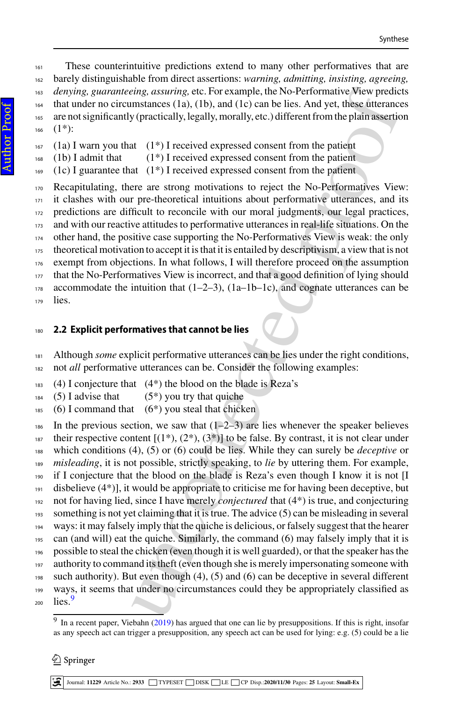These counterintuitive predictions extend to many other performatives that are barely distinguishable from direct assertions: *warning, admitting, insisting, agreeing, denying, guaranteeing, assuring,* etc. For example, the No-Performative View predicts that under no circumstances (1a), (1b), and (1c) can be lies. And yet, these utterances are not significantly (practically, legally, morally, etc.) different from the plain assertion  $(1^*)$ :

- (1a) I warn you that (1\*) I received expressed consent from the patient
- $_{168}$  (1b) I admit that (1<sup>\*</sup>) I received expressed consent from the patient
- (1c) I guarantee that  $(1^*)$  I received expressed consent from the patient

 Recapitulating, there are strong motivations to reject the No-Performatives View: it clashes with our pre-theoretical intuitions about performative utterances, and its predictions are difficult to reconcile with our moral judgments, our legal practices, and with our reactive attitudes to performative utterances in real-life situations. On the other hand, the positive case supporting the No-Performatives View is weak: the only theoretical motivation to accept it is that it is entailed by descriptivism, a view that is not exempt from objections. In what follows, I will therefore proceed on the assumption <sup>177</sup> that the No-Performatives View is incorrect, and that a good definition of lying should 178 accommodate the intuition that  $(1-2-3)$ ,  $(1a-1b-1c)$ , and cognate utterances can be lies.

## <span id="page-5-0"></span>**2.2 Explicit performatives that cannot be lies**

- Although *some* explicit performative utterances can be lies under the right conditions,
- not *all* performative utterances can be. Consider the following examples:
- (4) I conjecture that (4<sup>\*</sup>) the blood on the blade is Reza's
- (5) I advise that (5<sup>\*</sup>) you try that quiche
- (6) I command that (6<sup>\*</sup>) you steal that chicken

*ing*, *assuring*, etc. For example, the No-Performative Vew prelies<br>matances (1a), (1b), and (1c) can be lies. And yet, these utterance<br>(y fractically, legally, morally, etc.) different from the plain assertio<br>(y fractic 186 In the previous section, we saw that  $(1-2-3)$  are lies whenever the speaker believes <sup>187</sup> their respective content  $[(1^*), (2^*), (3^*)]$  to be false. By contrast, it is not clear under which conditions (4), (5) or (6) could be lies. While they can surely be *deceptive* or *misleading*, it is not possible, strictly speaking, to *lie* by uttering them. For example, <sup>190</sup> if I conjecture that the blood on the blade is Reza's even though I know it is not [I disbelieve (4\*)], it would be appropriate to criticise me for having been deceptive, but not for having lied, since I have merely *conjectured* that (4\*) is true, and conjecturing something is not yet claiming that it is true. The advice (5) can be misleading in several ways: it may falsely imply that the quiche is delicious, or falsely suggest that the hearer can (and will) eat the quiche. Similarly, the command (6) may falsely imply that it is possible to steal the chicken (even though it is well guarded), or that the speaker has the <sup>197</sup> authority to command its theft (even though she is merely impersonating someone with such authority). But even though (4), (5) and (6) can be deceptive in several different ways, it seems that under no circumstances could they be appropriately classified as  $_{200}$  lies.<sup>9</sup>

Journal: **11229** Article No.: **2933** TYPESET DISK LE CP Disp.:**2020/11/30** Pages: **[25](#page-22-0)** Layout: **Small-Ex**

<span id="page-5-1"></span><sup>&</sup>lt;sup>9</sup> In a recent paper, Viebahn [\(2019\)](#page-23-12) has argued that one can lie by presuppositions. If this is right, insofar as any speech act can trigger a presupposition, any speech act can be used for lying: e.g. (5) could be a lie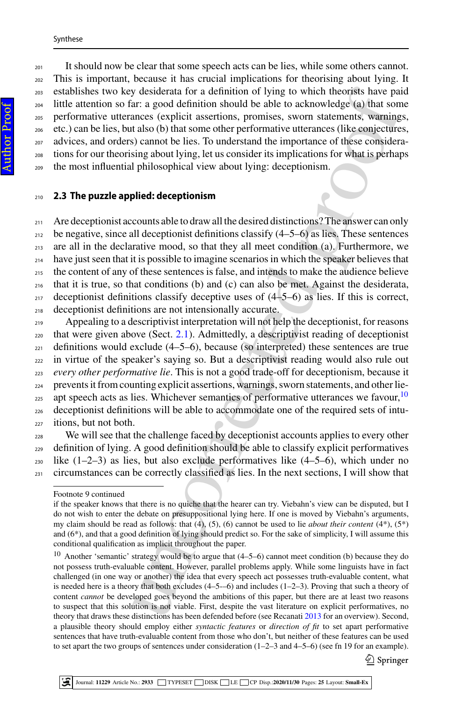<sup>201</sup> It should now be clear that some speech acts can be lies, while some others cannot. This is important, because it has crucial implications for theorising about lying. It establishes two key desiderata for a definition of lying to which theorists have paid little attention so far: a good definition should be able to acknowledge (a) that some performative utterances (explicit assertions, promises, sworn statements, warnings, etc.) can be lies, but also (b) that some other performative utterances (like conjectures, advices, and orders) cannot be lies. To understand the importance of these considera- tions for our theorising about lying, let us consider its implications for what is perhaps the most influential philosophical view about lying: deceptionism.

### <span id="page-6-0"></span><sup>210</sup> **2.3 The puzzle applied: deceptionism**

211 Are deceptionist accounts able to draw all the desired distinctions? The answer can only be negative, since all deceptionist definitions classify  $(4-5-6)$  as lies. These sentences are all in the declarative mood, so that they all meet condition (a). Furthermore, we <sup>214</sup> have just seen that it is possible to imagine scenarios in which the speaker believes that the content of any of these sentences is false, and intends to make the audience believe that it is true, so that conditions (b) and (c) can also be met. Against the desiderata, deceptionist definitions classify deceptive uses of  $(4-5-6)$  as lies. If this is correct, deceptionist definitions are not intensionally accurate.

y desiderata for a definition of lying to which theoryis have paid<br>
and a definition should be able to acknowledge (a) that some area good definition should be able to acknowledge (a) that some conserved takes (b) that so Appealing to a descriptivist interpretation will not help the deceptionist, for reasons that were given above (Sect. 2.1). Admittedly, a descriptivist reading of deceptionist  $_{221}$  definitions would exclude (4–5–6), because (so interpreted) these sentences are true in virtue of the speaker's saying so. But a descriptivist reading would also rule out *every other performative lie*. This is not a good trade-off for deceptionism, because it prevents it from counting explicit assertions, warnings, sworn statements, and other lieapt speech acts as lies. Whichever semantics of performative utterances we favour,  $10$  deceptionist definitions will be able to accommodate one of the required sets of intu-itions, but not both.

<sup>228</sup> We will see that the challenge faced by deceptionist accounts applies to every other <sup>229</sup> definition of lying. A good definition should be able to classify explicit performatives  $230$  like  $(1-2-3)$  as lies, but also exclude performatives like  $(4-5-6)$ , which under no 231 circumstances can be correctly classified as lies. In the next sections, I will show that

 $\mathcal{Q}$  Springer

Footnote 9 continued

if the speaker knows that there is no quiche that the hearer can try. Viebahn's view can be disputed, but I do not wish to enter the debate on presuppositional lying here. If one is moved by Viebahn's arguments, my claim should be read as follows: that (4), (5), (6) cannot be used to lie *about their content* (4\*), (5\*) and (6\*), and that a good definition of lying should predict so. For the sake of simplicity, I will assume this conditional qualification as implicit throughout the paper.

<span id="page-6-1"></span><sup>&</sup>lt;sup>10</sup> Another 'semantic' strategy would be to argue that  $(4-5-6)$  cannot meet condition (b) because they do not possess truth-evaluable content. However, parallel problems apply. While some linguists have in fact challenged (in one way or another) the idea that every speech act possesses truth-evaluable content, what is needed here is a theory that both excludes  $(4-5-6)$  and includes  $(1-2-3)$ . Proving that such a theory of content *cannot* be developed goes beyond the ambitions of this paper, but there are at least two reasons to suspect that this solution is not viable. First, despite the vast literature on explicit performatives, no theory that draws these distinctions has been defended before (see Recanati 2013 for an overview). Second, a plausible theory should employ either *syntactic features* or *direction of fit* to set apart performative sentences that have truth-evaluable content from those who don't, but neither of these features can be used to set apart the two groups of sentences under consideration (1–2–3 and 4–5–6) (see fn 19 for an example).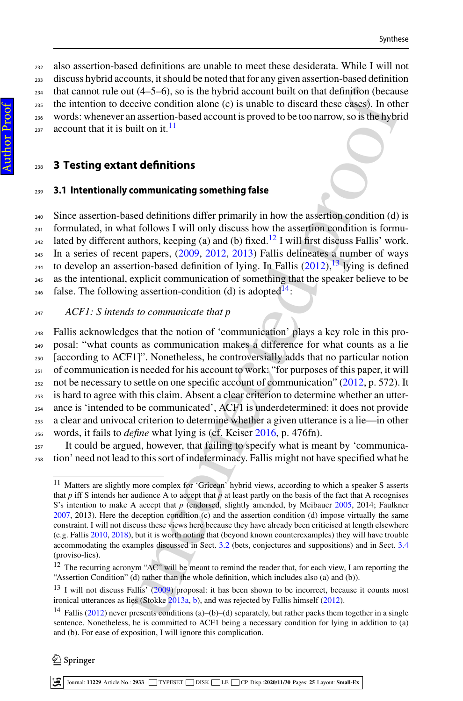also assertion-based definitions are unable to meet these desiderata. While I will not discuss hybrid accounts, it should be noted that for any given assertion-based definition that cannot rule out (4–5–6), so is the hybrid account built on that definition (because the intention to deceive condition alone (c) is unable to discard these cases). In other words: whenever an assertion-based account is proved to be too narrow, so is the hybrid account that it is built on it.<sup>11</sup>

## <span id="page-7-1"></span><sup>238</sup> **3 Testing extant definitions**

#### <span id="page-7-0"></span><sup>239</sup> **3.1 Intentionally communicating something false**

<sup>240</sup> Since assertion-based definitions differ primarily in how the assertion condition (d) is  $_{241}$  formulated, in what follows I will only discuss how the assertion condition is formu-<sup>242</sup> lated by different authors, keeping (a) and (b) fixed.<sup>[12](#page-7-3)</sup> I will first discuss Fallis' work. <sup>243</sup> In a series of recent papers, [\(2009,](#page-21-11) [2012,](#page-21-8) [2013\)](#page-21-9) Fallis delineates a number of ways to develop an assertion-based definition of lying. In Fallis (2012),<sup>13</sup> lying is defined <sup>245</sup> as the intentional, explicit communication of something that the speaker believe to be <sup>246</sup> false. The following assertion-condition (d) is adopted<sup>14</sup>:

### <sup>247</sup> *ACF1: S intends to communicate that p*

( $t(4-5-6)$ , so is the hybrid acco[u](#page-21-11)nt built on that d[e](#page-22-19)finition (because  $t$  coinci[d](#page-7-5)es contition alone (c) is unable to discard these classes). In other assertion-based account is [p](#page-21-8)roved to be too narrow, so is the hybrid Fallis acknowledges that the notion of 'communication' plays a key role in this pro- posal: "what counts as communication makes a difference for what counts as a lie [according to ACF1]". Nonetheless, he controversially adds that no particular notion  $_{251}$  of communication is needed for his account to work: "for purposes of this paper, it will  $_{252}$  not be necessary to settle on one specific account of communication" [\(2012,](#page-21-8) p. 572). It is hard to agree with this claim. Absent a clear criterion to determine whether an utter- ance is 'intended to be communicated', ACF1 is underdetermined: it does not provide a clear and univocal criterion to determine whether a given utterance is a lie—in other words, it fails to *define* what lying is (cf. Keiser 2016, p. 476fn).

<sup>257</sup> It could be argued, however, that failing to specify what is meant by 'communica-<sup>258</sup> tion' need not lead to this sort of indeterminacy. Fallis might not have specified what he

Journal: **11229** Article No.: **2933** TYPESET DISK LE CP Disp.:**2020/11/30** Pages: **[25](#page-22-0)** Layout: **Small-Ex**

<span id="page-7-2"></span><sup>&</sup>lt;sup>11</sup> Matters are slightly more complex for 'Gricean' hybrid views, according to which a speaker S asserts that *p* iff S intends her audience A to accept that *p* at least partly on the basis of the fact that A recognises S's intention to make A accept that *p* (endorsed, slightly amended, by Meibauer [2005,](#page-22-12) 2014; Faulkner [2007,](#page-21-12) 2013). Here the deception condition (c) and the assertion condition (d) impose virtually the same constraint. I will not discuss these views here because they have already been criticised at length elsewhere (e.g. Fallis [2010,](#page-21-20) [2018\)](#page-21-2), but it is worth noting that (beyond known counterexamples) they will have trouble accommodating the examples discussed in Sect. 3.2 (bets, conjectures and suppositions) and in Sect. [3.4](#page-11-0) (proviso-lies).

<span id="page-7-3"></span><sup>&</sup>lt;sup>12</sup> The recurring acronym "AC" will be meant to remind the reader that, for each view, I am reporting the "Assertion Condition" (d) rather than the whole definition, which includes also (a) and (b)).

<span id="page-7-4"></span><sup>&</sup>lt;sup>13</sup> I will not discuss Fallis' (2009) proposal: it has been shown to be incorrect, because it counts most ironical utterances as lies (Stokke 2013a, b), and was rejected by Fallis himself [\(2012\)](#page-21-8).

<span id="page-7-5"></span><sup>14</sup> Fallis [\(2012\)](#page-21-8) never presents conditions (a)–(b)–(d) separately, but rather packs them together in a single sentence. Nonetheless, he is committed to ACF1 being a necessary condition for lying in addition to (a) and (b). For ease of exposition, I will ignore this complication.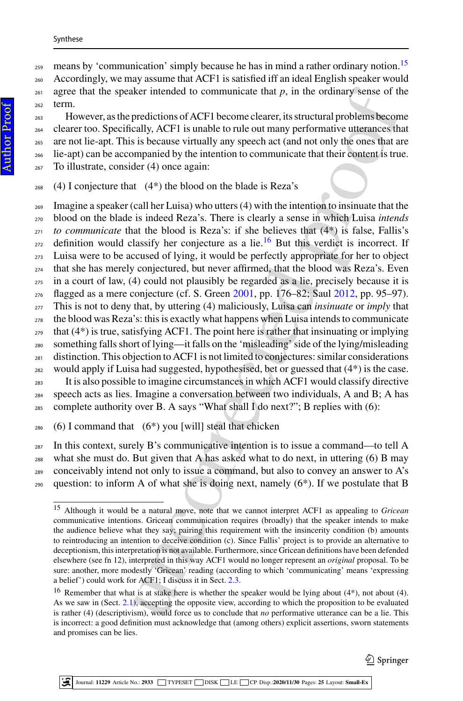#### Synthese

 $_{259}$  means by 'communication' simply because he has in mind a rather ordinary notion.<sup>[15](#page-8-0)</sup> <sup>260</sup> Accordingly, we may assume that ACF1 is satisfied iff an ideal English speaker would  $_{261}$  agree that the speaker intended to communicate that  $p$ , in the ordinary sense of the <sup>262</sup> term.

 However, as the predictions of ACF1 become clearer, its structural problems become clearer too. Specifically, ACF1 is unable to rule out many performative utterances that are not lie-apt. This is because virtually any speech act (and not only the ones that are lie-apt) can be accompanied by the intention to communicate that their content is true. To illustrate, consider (4) once again:

 $268$  (4) I conjecture that (4<sup>\*</sup>) the blood on the blade is Reza's

ther intended to communicate that *p*, in the ordinary sense of the<br>predictions of ACF1 become clearer, its structural problems become<br>cally, ACF1 is unable to rule out many performative uttenaces this<br>sis because virtual <sup>269</sup> Imagine a speaker (call her Luisa) who utters (4) with the intention to insinuate that the blood on the blade is indeed Reza's. There is clearly a sense in which Luisa *intends to communicate* that the blood is Reza's: if she believes that  $(4^*)$  is false, Fallis's  $_{272}$  definition would classify her conjecture as a lie.<sup>16</sup> But this verdict is incorrect. If Luisa were to be accused of lying, it would be perfectly appropriate for her to object that she has merely conjectured, but never affirmed, that the blood was Reza's. Even in a court of law, (4) could not plausibly be regarded as a lie, precisely because it is flagged as a mere conjecture (cf. S. Green 2001, pp. 176–82; Saul [2012,](#page-23-5) pp. 95–97). This is not to deny that, by uttering (4) maliciously, Luisa can *insinuate* or *imply* that the blood was Reza's: this is exactly what happens when Luisa intends to communicate that  $(4^*)$  is true, satisfying ACF1. The point here is rather that insinuating or implying something falls short of lying—it falls on the 'misleading' side of the lying/misleading 281 distinction. This objection to ACF1 is not limited to conjectures: similar considerations would apply if Luisa had suggested, hypothesised, bet or guessed that  $(4^*)$  is the case. It is also possible to imagine circumstances in which ACF1 would classify directive speech acts as lies. Imagine a conversation between two individuals, A and B; A has complete authority over B. A says "What shall I do next?"; B replies with (6):

286 (6) I command that  $(6^*)$  you [will] steal that chicken

 In this context, surely B's communicative intention is to issue a command—to tell A what she must do. But given that A has asked what to do next, in uttering (6) B may conceivably intend not only to issue a command, but also to convey an answer to A's 290 question: to inform A of what she is doing next, namely  $(6^*)$ . If we postulate that B

 $\mathcal{Q}$  Springer

<span id="page-8-0"></span><sup>15</sup> Although it would be a natural move, note that we cannot interpret ACF1 as appealing to *Gricean* communicative intentions. Gricean communication requires (broadly) that the speaker intends to make the audience believe what they say; pairing this requirement with the insincerity condition (b) amounts to reintroducing an intention to deceive condition (c). Since Fallis' project is to provide an alternative to deceptionism, this interpretation is not available. Furthermore, since Gricean definitions have been defended elsewhere (see fn 12), interpreted in this way ACF1 would no longer represent an *original* proposal. To be sure: another, more modestly 'Gricean' reading (according to which 'communicating' means 'expressing a belief') could work for ACF1; I discuss it in Sect. 2.3.

<span id="page-8-1"></span><sup>&</sup>lt;sup>16</sup> Remember that what is at stake here is whether the speaker would be lying about (4\*), not about (4). As we saw in (Sect. [2.1\)](#page-3-0), accepting the opposite view, according to which the proposition to be evaluated is rather (4) (descriptivism), would force us to conclude that *no* performative utterance can be a lie. This is incorrect: a good definition must acknowledge that (among others) explicit assertions, sworn statements and promises can be lies.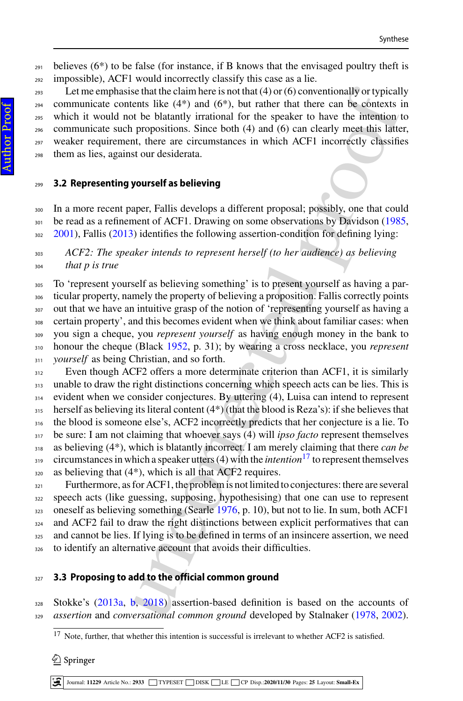$_{291}$  believes (6<sup>\*</sup>) to be false (for instance, if B knows that the envisaged poultry theft is impossible), ACF1 would incorrectly classify this case as a lie.

 Let me emphasise that the claim here is not that (4) or (6) conventionally or typically communicate contents like  $(4^*)$  and  $(6^*)$ , but rather that there can be contexts in which it would not be blatantly irrational for the speaker to have the intention to communicate such propositions. Since both (4) and (6) can clearly meet this latter, weaker requirement, there are circumstances in which ACF1 incorrectly classifies them as lies, against our desiderata.

#### <span id="page-9-0"></span>**3.2 Representing yourself as believing**

 In a more recent paper, Fallis develops a different proposal; possibly, one that could <sup>301</sup> be read as a refinement of ACF1. Drawing on some observations by Davidson [\(1985,](#page-21-22) [2001\)](#page-21-23), Fallis [\(2013\)](#page-21-9) identifies the following assertion-condition for defining lying:

## *ACF2: The speaker intends to represent herself (to her audience) as believing that p is true*

 To 'represent yourself as believing something' is to present yourself as having a par- ticular property, namely the property of believing a proposition. Fallis correctly points out that we have an intuitive grasp of the notion of 'representing yourself as having a certain property', and this becomes evident when we think about familiar cases: when you sign a cheque, you *represent yourself* as having enough money in the bank to honour the cheque (Black 1952, p. 31); by wearing a cross necklace, you *represent yourself* as being Christian, and so forth.

se that the claim here is n[o](#page-23-14)t that (4) or (6) conventionally or typically<br>entiate the state and the claim there is no that the claim end the batantly intriviand for the present to have the intention of the blatantly irrat Even though ACF2 offers a more determinate criterion than ACF1, it is similarly 313 unable to draw the right distinctions concerning which speech acts can be lies. This is evident when we consider conjectures. By uttering (4), Luisa can intend to represent herself as believing its literal content  $(4^*)$  (that the blood is Reza's): if she believes that the blood is someone else's, ACF2 incorrectly predicts that her conjecture is a lie. To be sure: I am not claiming that whoever says (4) will *ipso facto* represent themselves as believing (4\*), which is blatantly incorrect. I am merely claiming that there *can be* circumstances in which a speaker utters  $(4)$  with the *intention*<sup>17</sup> to represent themselves as believing that  $(4^*)$ , which is all that ACF2 requires.

<sup>321</sup> Furthermore, as for ACF1, the problem is not limited to conjectures: there are several speech acts (like guessing, supposing, hypothesising) that one can use to represent 323 oneself as believing something (Searle 1976, p. 10), but not to lie. In sum, both ACF1 <sup>324</sup> and ACF2 fail to draw the right distinctions between explicit performatives that can 325 and cannot be lies. If lying is to be defined in terms of an insincere assertion, we need to identify an alternative account that avoids their difficulties.

## **3.3 Proposing to add to the official common ground**

 Stokke's [\(2013a,](#page-23-6) [b,](#page-23-7) 2018) assertion-based definition is based on the accounts of *assertion* and *conversational common ground* developed by Stalnaker [\(1978,](#page-23-15) [2002\)](#page-23-16).

 $\mathcal{Q}$  Springer

Journal: **11229** Article No.: **2933** TYPESET DISK LE CP Disp.:**2020/11/30** Pages: **[25](#page-22-0)** Layout: **Small-Ex**

<span id="page-9-1"></span><sup>&</sup>lt;sup>17</sup> Note, further, that whether this intention is successful is irrelevant to whether ACF2 is satisfied.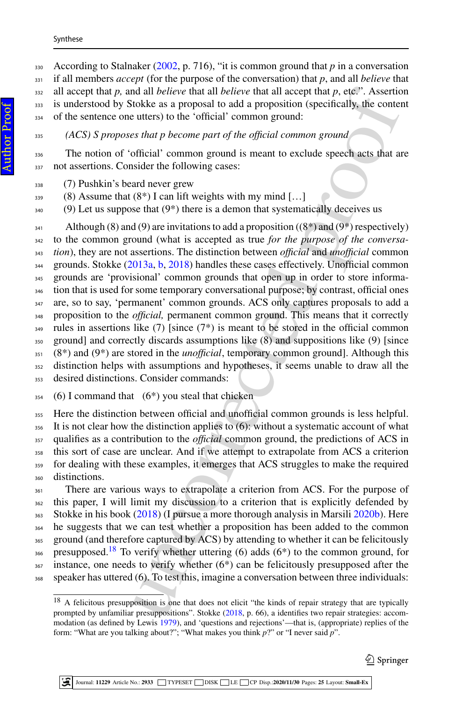#### Synthese

## *(ACS) S proposes that p become part of the official common ground*

 The notion of 'official' common ground is meant to exclude speech acts that are 337 not assertions. Consider the following cases:

(7) Pushkin's beard never grew

- (8) Assume that  $(8^*)$  I can lift weights with my mind [...]
- (9) Let us suppose that (9<sup>\*</sup>) there is a demon that systematically deceives us

al all believe that all believe that all coept that p. etc.". Assertion<br>dial all believe that all believe that all coept that all coences of<br>toke as a proposal to add a proposalion (specifically, the conter<br>utters) to the Although (8) and (9) are invitations to add a proposition ((8\*) and (9\*) respectively) to the common ground (what is accepted as true *for the purpose of the conversa- tion*), they are not assertions. The distinction between *official* and *unofficial* common grounds. Stokke [\(2013a,](#page-23-6) [b,](#page-23-7) [2018\)](#page-23-8) handles these cases effectively. Unofficial common grounds are 'provisional' common grounds that open up in order to store informa- tion that is used for some temporary conversational purpose; by contrast, official ones are, so to say, 'permanent' common grounds. ACS only captures proposals to add a proposition to the *official,* permanent common ground. This means that it correctly rules in assertions like (7) [since (7\*) is meant to be stored in the official common ground] and correctly discards assumptions like (8) and suppositions like (9) [since (8<sup>\*</sup>) and (9<sup>\*</sup>) are stored in the *unofficial*, temporary common ground]. Although this distinction helps with assumptions and hypotheses, it seems unable to draw all the desired distinctions. Consider commands:

(6) I command that (6<sup>\*</sup>) you steal that chicken

 Here the distinction between official and unofficial common grounds is less helpful. It is not clear how the distinction applies to (6): without a systematic account of what qualifies as a contribution to the *official* common ground, the predictions of ACS in this sort of case are unclear. And if we attempt to extrapolate from ACS a criterion <sup>359</sup> for dealing with these examples, it emerges that ACS struggles to make the required distinctions.

<sup>361</sup> There are various ways to extrapolate a criterion from ACS. For the purpose of this paper, I will limit my discussion to a criterion that is explicitly defended by 363 Stokke in his book (2018) (I pursue a more thorough analysis in Marsili [2020b\)](#page-22-20). Here he suggests that we can test whether a proposition has been added to the common 365 ground (and therefore captured by ACS) by attending to whether it can be felicitously <sup>366</sup> presupposed.<sup>18</sup> To verify whether uttering (6) adds (6<sup>\*</sup>) to the common ground, for instance, one needs to verify whether  $(6*)$  can be felicitously presupposed after the speaker has uttered (6). To test this, imagine a conversation between three individuals:

<span id="page-10-0"></span><sup>&</sup>lt;sup>18</sup> A felicitous presupposition is one that does not elicit "the kinds of repair strategy that are typically prompted by unfamiliar presuppositions". Stokke (2018, p. 66), a identifies two repair strategies: accommodation (as defined by Lewis [1979\)](#page-22-21), and 'questions and rejections'—that is, (appropriate) replies of the form: "What are you talking about?"; "What makes you think *p*?" or "I never said *p*".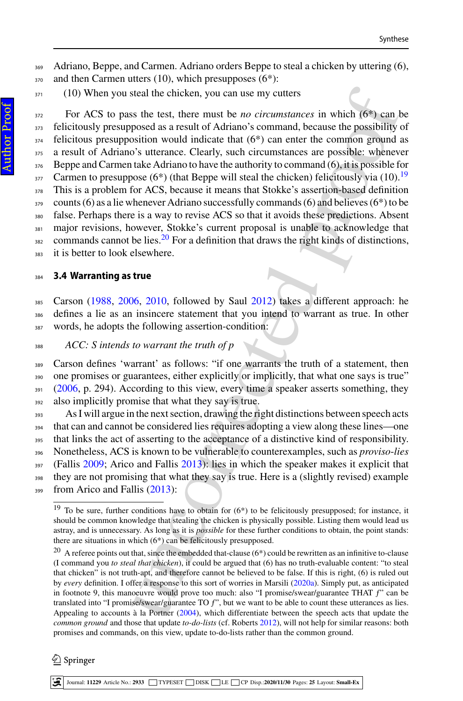369 Adriano, Beppe, and Carmen. Adriano orders Beppe to steal a chicken by uttering (6), 370 and then Carmen utters (10), which presupposes (6<sup>\*</sup>):

371 (10) When you steal the chicken, you can use my cutters

steal the chicken, yo[u](#page-23-17) can use my cutte[r](#page-21-5)s<br>
as the test, there must be *no circumstances* in which (6<sup>th</sup>) can<br>
by consi[d](#page-23-5)ed as a result of Adrian's command, because the possibility<br>
by sition would indicate that (6<sup>+</sup>) can <sup>372</sup> For ACS to pass the test, there must be *no circumstances* in which (6\*) can be <sup>373</sup> felicitously presupposed as a result of Adriano's command, because the possibility of  $374$  felicitous presupposition would indicate that  $(6^*)$  can enter the common ground as <sup>375</sup> a result of Adriano's utterance. Clearly, such circumstances are possible: whenever <sup>376</sup> Beppe and Carmen take Adriano to have the authority to command (6), it is possible for <sup>377</sup> Carmen to presuppose (6<sup>\*</sup>) (that Beppe will steal the chicken) felicitously via (10).<sup>19</sup> <sup>378</sup> This is a problem for ACS, because it means that Stokke's assertion-based definition  $379$  counts (6) as a lie whenever Adriano successfully commands (6) and believes (6<sup>\*</sup>) to be <sup>380</sup> false. Perhaps there is a way to revise ACS so that it avoids these predictions. Absent <sup>381</sup> major revisions, however, Stokke's current proposal is unable to acknowledge that  $\frac{1}{382}$  commands cannot be lies.<sup>20</sup> For a definition that draws the right kinds of distinctions, 383 it is better to look elsewhere.

#### <span id="page-11-0"></span><sup>384</sup> **3.4 Warranting as true**

<sup>385</sup> Carson [\(1988,](#page-21-25) [2006,](#page-21-4) 2010, followed by Saul 2012) takes a different approach: he <sup>386</sup> defines a lie as an insincere statement that you intend to warrant as true. In other <sup>387</sup> words, he adopts the following assertion-condition:

<sup>388</sup> *ACC: S intends to warrant the truth of p*

 Carson defines 'warrant' as follows: "if one warrants the truth of a statement, then one promises or guarantees, either explicitly or implicitly, that what one says is true" [\(2006,](#page-21-4) p. 294). According to this view, every time a speaker asserts something, they 392 also implicitly promise that what they say is true.

 As I will argue in the next section, drawing the right distinctions between speech acts that can and cannot be considered lies requires adopting a view along these lines—one that links the act of asserting to the acceptance of a distinctive kind of responsibility. Nonetheless, ACS is known to be vulnerable to counterexamples, such as *proviso*-*lies* (Fallis [2009;](#page-21-11) Arico and Fallis 2013): lies in which the speaker makes it explicit that they are not promising that what they say is true. Here is a (slightly revised) example 399 from Arico and Fallis (2013):

<span id="page-11-1"></span> $19$  To be sure, further conditions have to obtain for (6\*) to be felicitously presupposed; for instance, it should be common knowledge that stealing the chicken is physically possible. Listing them would lead us astray, and is unnecessary. As long as it is *possible* for these further conditions to obtain, the point stands: there are situations in which (6\*) can be felicitously presupposed.

<span id="page-11-2"></span><sup>&</sup>lt;sup>20</sup> A referee points out that, since the embedded that-clause (6\*) could be rewritten as an infinitive to-clause (I command you *to steal that chicken*), it could be argued that (6) has no truth-evaluable content: "to steal that chicken" is not truth-apt, and therefore cannot be believed to be false. If this is right, (6) is ruled out by *every* definition. I offer a response to this sort of worries in Marsili (2020a). Simply put, as anticipated in footnote 9, this manoeuvre would prove too much: also "I promise/swear/guarantee THAT ƒ" can be translated into "I promise/swear/guarantee TO ƒ", but we want to be able to count these utterances as lies. Appealing to accounts à la Portner (2004), which differentiate between the speech acts that update the *common ground* and those that update *to-do-lists* (cf. Roberts [2012\)](#page-23-18), will not help for similar reasons: both promises and commands, on this view, update to-do-lists rather than the common ground.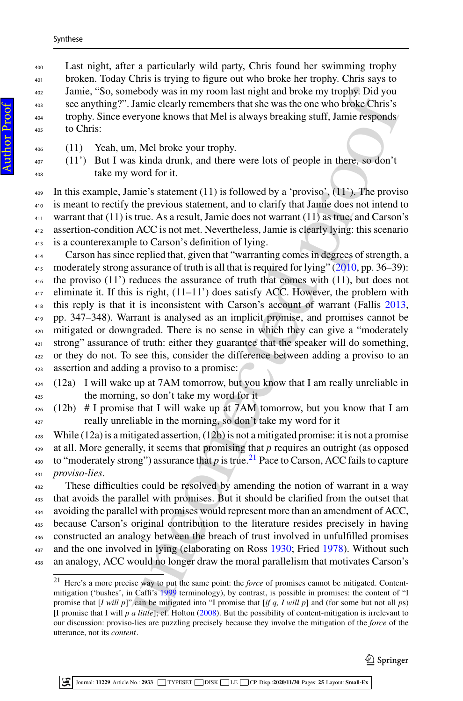Last night, after a particularly wild party, Chris found her swimming trophy broken. Today Chris is trying to figure out who broke her trophy. Chris says to Jamie, "So, somebody was in my room last night and broke my trophy. Did you see anything?". Jamie clearly remembers that she was the one who broke Chris's trophy. Since everyone knows that Mel is always breaking stuff, Jamie responds to Chris:

- (11) Yeah, um, Mel broke your trophy.
- (11') But I was kinda drunk, and there were lots of people in there, so don't take my word for it.

409 In this example, Jamie's statement  $(11)$  is followed by a 'proviso',  $(11')$ . The proviso is meant to rectify the previous statement, and to clarify that Jamie does not intend to warrant that (11) is true. As a result, Jamie does not warrant (11) as true, and Carson's assertion-condition ACC is not met. Nevertheless, Jamie is clearly lying: this scenario is a counterexample to Carson's definition of lying.

ebody was in my room last night and broke my tropply. Did yo[u](#page-21-26) should<b[r](#page-12-0)>down is aming clearly remembers that she was the one who broke. This sery<br>one knows that Mel is always breaking stuff, Jamie res[p](#page-21-10)onds<br>xeryone knows that Carson has since replied that, given that "warranting comes in degrees of strength, a 415 moderately strong assurance of truth is all that is required for lying"  $(2010, pp. 36-39)$ : the proviso (11') reduces the assurance of truth that comes with (11), but does not eliminate it. If this is right,  $(11-11)$  does satisfy ACC. However, the problem with this reply is that it is inconsistent with Carson's account of warrant (Fallis [2013,](#page-21-9) pp. 347–348). Warrant is analysed as an implicit promise, and promises cannot be mitigated or downgraded. There is no sense in which they can give a "moderately strong" assurance of truth: either they guarantee that the speaker will do something, or they do not. To see this, consider the difference between adding a proviso to an assertion and adding a proviso to a promise:

- (12a) I will wake up at 7AM tomorrow, but you know that I am really unreliable in the morning, so don't take my word for it
- (12b) # I promise that I will wake up at 7AM tomorrow, but you know that I am really unreliable in the morning, so don't take my word for it

 While (12a) is a mitigated assertion, (12b) is not a mitigated promise: it is not a promise 429 at all. More generally, it seems that promising that p requires an outright (as opposed <sub>430</sub> to "moderately strong") assurance that *p* is true.<sup>21</sup> Pace to Carson, ACC fails to capture *proviso*-*lies*.

 These difficulties could be resolved by amending the notion of warrant in a way that avoids the parallel with promises. But it should be clarified from the outset that avoiding the parallel with promises would represent more than an amendment of ACC, because Carson's original contribution to the literature resides precisely in having constructed an analogy between the breach of trust involved in unfulfilled promises 437 and the one involved in lying (elaborating on Ross 1930; Fried [1978\)](#page-21-14). Without such an analogy, ACC would no longer draw the moral parallelism that motivates Carson's

Author ProofAuthor Proof

<span id="page-12-0"></span> Here's a more precise way to put the same point: the *force* of promises cannot be mitigated. Contentmitigation ('bushes', in Caffi's 1999 terminology), by contrast, is possible in promises: the content of "I promise that [*I will p*]" can be mitigated into "I promise that [*if q, I will p*] and (for some but not all *p*s) [I promise that I will *p a little*]; cf. Holton (2008). But the possibility of content-mitigation is irrelevant to our discussion: proviso-lies are puzzling precisely because they involve the mitigation of the *force* of the utterance, not its *content*.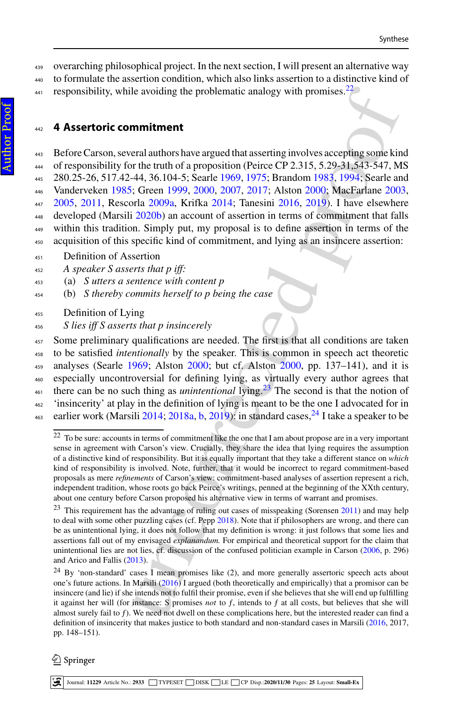<sup>439</sup> overarching philosophical project. In the next section, I will present an alternative way <sup>440</sup> to formulate the assertion condition, which also links assertion to a distinctive kind of

<sup>441</sup> responsibility, while avoiding the problematic analogy with promises.<sup>22</sup>

## <span id="page-13-0"></span><sup>442</sup> **4 Assertoric commitment**

le av[o](#page-21-28)iding the problemati[c](#page-13-2) analogy wi[t](#page-21-32)h p[r](#page-23-24)omises.<sup>22</sup><br> **mmittenent**<br> [re](#page-22-32)al authors have argued that asserting involves accepting some kine<br>
real authors have argued that asserting involves accepting some kine<br>
reference a Before Carson, several authors have argued that asserting involves accepting some kind <sup>444</sup> of responsibility for the truth of a proposition (Peirce CP 2.315, 5.29–31,543-547, MS 280.25-26, 517.42-44, 36.104-5; Searle [1969,](#page-23-19) [1975;](#page-23-20) Brandom 1983, 1994; Searle and Vanderveken [1985;](#page-23-21) Green [1999,](#page-21-29) [2000,](#page-21-30) [2007,](#page-21-31) [2017;](#page-22-24) Alston 2000; MacFarlane [2003,](#page-22-25) [2005,](#page-22-26) [2011,](#page-22-27) Rescorla [2009a,](#page-23-22) Krifka [2014;](#page-22-28) Tanesini [2016,](#page-23-23) 2019). I have elsewhere developed (Marsili [2020b\)](#page-22-20) an account of assertion in terms of commitment that falls within this tradition. Simply put, my proposal is to define assertion in terms of the acquisition of this specific kind of commitment, and lying as an insincere assertion:

- <sup>451</sup> Definition of Assertion
- <sup>452</sup> *A speaker S asserts that p iff:*
- <sup>453</sup> (a) *S utters a sentence with content p*
- <sup>454</sup> (b) *S thereby commits herself to p being the case*
- <sup>455</sup> Definition of Lying
- <sup>456</sup> *S lies iff S asserts that p insincerely*

 Some preliminary qualifications are needed. The first is that all conditions are taken to be satisfied *intentionally* by the speaker. This is common in speech act theoretic analyses (Searle [1969;](#page-23-19) Alston 2000; but cf. Alston 2000, pp. 137–141), and it is especially uncontroversial for defining lying, as virtually every author agrees that there can be no such thing as *unintentional* lying.<sup>23</sup> The second is that the notion of 'insincerity' at play in the definition of lying is meant to be the one I advocated for in <sup>463</sup> earlier work (Marsili 2014; 2018a, b, 2019): in standard cases,  $^{24}$  I take a speaker to be

<span id="page-13-1"></span> $22$  To be sure: accounts in terms of commitment like the one that I am about propose are in a very important sense in agreement with Carson's view. Crucially, they share the idea that lying requires the assumption of a distinctive kind of responsibility. But it is equally important that they take a different stance on *which* kind of responsibility is involved. Note, further, that it would be incorrect to regard commitment-based proposals as mere *refinements* of Carson's view: commitment-based analyses of assertion represent a rich, independent tradition, whose roots go back Peirce's writings, penned at the beginning of the XXth century, about one century before Carson proposed his alternative view in terms of warrant and promises.

<span id="page-13-2"></span><sup>&</sup>lt;sup>23</sup> This requirement has the advantage of ruling out cases of misspeaking (Sorensen [2011\)](#page-23-25) and may help to deal with some other puzzling cases (cf. Pepp 2018). Note that if philosophers are wrong, and there can be as unintentional lying, it does not follow that my definition is wrong: it just follows that some lies and assertions fall out of my envisaged *explanandum.* For empirical and theoretical support for the claim that unintentional lies are not lies, cf. discussion of the confused politician example in Carson [\(2006,](#page-21-4) p. 296) and Arico and Fallis [\(2013\)](#page-21-5).

<span id="page-13-3"></span><sup>&</sup>lt;sup>24</sup> By 'non-standard' cases I mean promises like (2), and more generally assertoric speech acts about one's future actions. In Marsili (2016) I argued (both theoretically and empirically) that a promisor can be insincere (and lie) if she intends not to fulfil their promise, even if she believes that she will end up fulfilling it against her will (for instance: S promises *not* to ƒ, intends to ƒ at all costs, but believes that she will almost surely fail to ƒ). We need not dwell on these complications here, but the interested reader can find a definition of insincerity that makes justice to both standard and non-standard cases in Marsili [\(2016,](#page-22-13) 2017, pp. 148–151).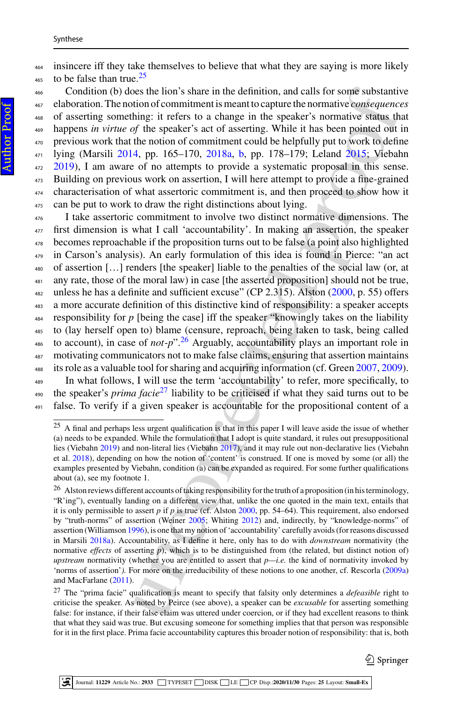<sup>464</sup> insincere iff they take themselves to believe that what they are saying is more likely  $\frac{465}{465}$  to be false than true.<sup>[25](#page-14-0)</sup>

 Condition (b) does the lion's share in the definition, and calls for some substantive elaboration. The notion of commitment is meant to capture the normative *consequences* of asserting something: it refers to a change in the speaker's normative status that happens *in virtue of* the speaker's act of asserting. While it has been pointed out in previous work that the notion of commitment could be helpfully put to work to define lying (Marsili [2014,](#page-22-29) pp. 165–170, [2018a,](#page-22-30) [b,](#page-22-31) pp. 178–179; Leland 2015; Viebahn [2019\)](#page-23-12), I am aware of no attempts to provide a systematic proposal in this sense. Building on previous work on assertion, I will here attempt to provide a fine-grained characterisation of what assertoric commitment is, and then proceed to show how it can be put to work to draw the right distinctions about lying.

beso fits link the definition, and calls for some substantine<br>one of the most charge in the speaker's normative [co](#page-23-29)nsequences<br>hing: it refers t[o](#page-22-33) a change in the speaker's normative consequence<br>hing: it refers to a change i I take assertoric commitment to involve two distinct normative dimensions. The first dimension is what I call 'accountability'. In making an assertion, the speaker becomes reproachable if the proposition turns out to be false (a point also highlighted in Carson's analysis). An early formulation of this idea is found in Pierce: "an act of assertion […] renders [the speaker] liable to the penalties of the social law (or, at 481 any rate, those of the moral law) in case [the asserted proposition] should not be true, unless he has a definite and sufficient excuse" (CP 2.315). Alston [\(2000,](#page-21-32) p. 55) offers a more accurate definition of this distinctive kind of responsibility: a speaker accepts responsibility for  $p$  [being the case] iff the speaker "knowingly takes on the liability to (lay herself open to) blame (censure, reproach, being taken to task, being called to account), in case of  $not-p$ <sup>".26</sup> Arguably, accountability plays an important role in motivating communicators not to make false claims, ensuring that assertion maintains <sup>488</sup> its role as a valuable tool for sharing and acquiring information (cf. Green [2007,](#page-21-31) [2009\)](#page-22-34). In what follows, I will use the term 'accountability' to refer, more specifically, to <sup>490</sup> the speaker's *prima facie*<sup>27</sup> liability to be criticised if what they said turns out to be false. To verify if a given speaker is accountable for the propositional content of a

 $\mathcal{Q}$  Springer

<span id="page-14-0"></span><sup>&</sup>lt;sup>25</sup> A final and perhaps less urgent qualification is that in this paper I will leave aside the issue of whether (a) needs to be expanded. While the formulation that I adopt is quite standard, it rules out presuppositional lies (Viebahn [2019\)](#page-23-12) and non-literal lies (Viebahn 2017), and it may rule out non-declarative lies (Viebahn et al. [2018\)](#page-23-28), depending on how the notion of 'content' is construed. If one is moved by some (or all) the examples presented by Viebahn, condition (a) can be expanded as required. For some further qualifications about (a), see my footnote 1.

<span id="page-14-1"></span><sup>&</sup>lt;sup>26</sup> Alston reviews different accounts of taking responsibility for the truth of a proposition (in his terminology, "R'ing"), eventually landing on a different view that, unlike the one quoted in the main text, entails that it is only permissible to assert  $p$  if  $p$  is true (cf. Alston 2000, pp. 54–64). This requirement, also endorsed by "truth-norms" of assertion (Weiner 2005; Whiting 2012) and, indirectly, by "knowledge-norms" of assertion (Williamson [1996\)](#page-24-3), is one that my notion of 'accountability' carefully avoids (for reasons discussed in Marsili [2018a\)](#page-22-30). Accountability, as I define it here, only has to do with *downstream* normativity (the normative *effects* of asserting *p*), which is to be distinguished from (the related, but distinct notion of) *upstream* normativity (whether you are entitled to assert that *p—i.e.* the kind of normativity invoked by 'norms of assertion'*).* For more on the irreducibility of these notions to one another, cf. Rescorla [\(2009a\)](#page-23-22) and MacFarlane [\(2011\)](#page-22-27).

<span id="page-14-2"></span><sup>27</sup> The "prima facie" qualification is meant to specify that falsity only determines a *defeasible* right to criticise the speaker. As noted by Peirce (see above), a speaker can be *excusable* for asserting something false: for instance, if their false claim was uttered under coercion, or if they had excellent reasons to think that what they said was true. But excusing someone for something implies that that person was responsible for it in the first place. Prima facie accountability captures this broader notion of responsibility: that is, both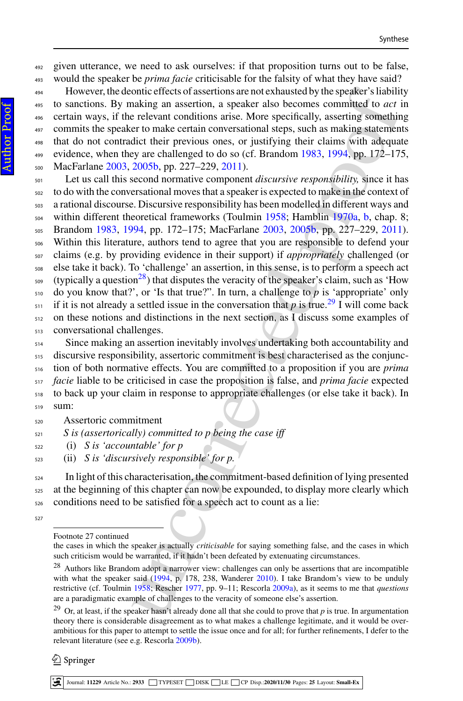given utterance, we need to ask ourselves: if that proposition turns out to be false, would the speaker be *prima facie* criticisable for the falsity of what they have said?

 However, the deontic effects of assertions are not exhausted by the speaker's liability to sanctions. By making an assertion, a speaker also becomes committed to *act* in certain ways, if the relevant conditions arise. More specifically, asserting something commits the speaker to make certain conversational steps, such as making statements that do not contradict their previous ones, or justifying their claims with adequate evidence, when they are challenged to do so (cf. Brandom 1983, 1994, pp. 172–175, MacFarlane [2003,](#page-22-25) [2005b,](#page-22-35) pp. 227–229, [2011\)](#page-22-27).

ontic effects of assembins are not exha[u](#page-23-30)sted by the speaker's liabilities<br>a[n](#page-21-28)d the space [o](#page-21-28)f assembles and technals and technals and reaching an assertion, a speaker also becomes committed to *act* in elevant conditions ari Let us call this second normative component *discursive responsibility,* since it has to do with the conversational moves that a speaker is expected to make in the context of a rational discourse. Discursive responsibility has been modelled in different ways and within different theoretical frameworks (Toulmin [1958;](#page-23-30) Hamblin 1970a, b, chap. 8; Brandom [1983,](#page-21-27) [1994,](#page-21-28) pp. 172–175; MacFarlane [2003,](#page-22-25) [2005b,](#page-22-35) pp. 227–229, 2011). Within this literature, authors tend to agree that you are responsible to defend your claims (e.g. by providing evidence in their support) if *appropriately* challenged (or else take it back). To 'challenge' an assertion, in this sense, is to perform a speech act (typically a question<sup>28</sup>) that disputes the veracity of the speaker's claim, such as 'How do you know that?', or 'Is that true?". In turn, a challenge to *p* is 'appropriate' only  $\frac{1}{2}$  if it is not already a settled issue in the conversation that *p* is true.<sup>29</sup> I will come back on these notions and distinctions in the next section, as I discuss some examples of conversational challenges.

 Since making an assertion inevitably involves undertaking both accountability and discursive responsibility, assertoric commitment is best characterised as the conjunc- tion of both normative effects. You are committed to a proposition if you are *prima facie* liable to be criticised in case the proposition is false, and *prima facie* expected to back up your claim in response to appropriate challenges (or else take it back). In sum:

- Assertoric commitment
- *S is (assertorically) committed to p being the case iff*
- (i) *S is 'accountable' for p*
- (ii) *S is 'discursively responsible' for p.*

 In light of this characterisation, the commitment-based definition of lying presented at the beginning of this chapter can now be expounded, to display more clearly which conditions need to be satisfied for a speech act to count as a lie:

 $\mathcal{Q}$  Springer

Footnote 27 continued

the cases in which the speaker is actually *criticisable* for saying something false, and the cases in which such criticism would be warranted, if it hadn't been defeated by extenuating circumstances.

<span id="page-15-0"></span><sup>&</sup>lt;sup>28</sup> Authors like Brandom adopt a narrower view: challenges can only be assertions that are incompatible with what the speaker said (1994, p. 178, 238, Wanderer 2010). I take Brandom's view to be unduly restrictive (cf. Toulmin 1958; Rescher 1977, pp. 9–11; Rescorla 2009a), as it seems to me that *questions* are a paradigmatic example of challenges to the veracity of someone else's assertion.

<span id="page-15-1"></span><sup>&</sup>lt;sup>29</sup> Or, at least, if the speaker hasn't already done all that she could to prove that  $p$  is true. In argumentation theory there is considerable disagreement as to what makes a challenge legitimate, and it would be overambitious for this paper to attempt to settle the issue once and for all; for further refinements, I defer to the relevant literature (see e.g. Rescorla [2009b\)](#page-23-33).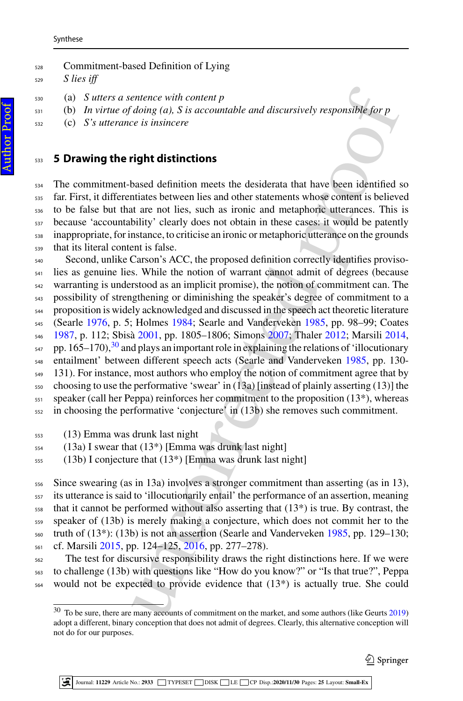Commitment-based Definition of Lying *S lies iff*

- (a) *S utters a sentence with content p*
- (b) *In virtue of doing (a), S is accountable and discursively responsible for p*
- (c) *S's utterance is insincere*

## <span id="page-16-0"></span>**5 Drawing the right distinctions**

 The commitment-based definition meets the desiderata that have been identified so far. First, it differentiates between lies and other statements whose content is believed to be false but that are not lies, such as ironic and metaphoric utterances. This is because 'accountability' clearly does not obtain in these cases: it would be patently inappropriate, for instance, to criticise an ironic or metaphoric utterance on the grounds that its literal content is false.

ente[nc](#page-22-13)e with con[te](#page-23-35)nt  $p$ <br> *doing (a), S is accountable and discursively responsible for p*<br> *in doing (a), S is accountable and discursively responsible for p*<br> **right distinctions**<br>
axes to itsincere<br> **in the notice, suc**  Second, unlike Carson's ACC, the proposed definition correctly identifies proviso- lies as genuine lies. While the notion of warrant cannot admit of degrees (because warranting is understood as an implicit promise), the notion of commitment can. The possibility of strengthening or diminishing the speaker's degree of commitment to a proposition is widely acknowledged and discussed in the speech act theoretic literature (Searle [1976,](#page-23-14) p. 5; Holmes 1984; Searle and Vanderveken [1985,](#page-23-21) pp. 98–99; Coates [1987,](#page-21-33) p. 112; Sbisà 2001, pp. 1805–1806; Simons 2007; Thaler [2012;](#page-23-36) Marsili [2014,](#page-22-29)  $_{547}$  pp. 165–170),<sup>30</sup> and plays an important role in explaining the relations of 'illocutionary entailment' between different speech acts (Searle and Vanderveken [1985,](#page-23-21) pp. 130- 131). For instance, most authors who employ the notion of commitment agree that by choosing to use the performative 'swear' in (13a) [instead of plainly asserting (13)] the speaker (call her Peppa) reinforces her commitment to the proposition  $(13^*)$ , whereas in choosing the performative 'conjecture' in (13b) she removes such commitment.

- (13) Emma was drunk last night
- (13a) I swear that (13\*) [Emma was drunk last night]
- (13b) I conjecture that (13\*) [Emma was drunk last night]

 Since swearing (as in 13a) involves a stronger commitment than asserting (as in 13), its utterance is said to 'illocutionarily entail' the performance of an assertion, meaning that it cannot be performed without also asserting that (13\*) is true. By contrast, the speaker of (13b) is merely making a conjecture, which does not commit her to the truth of  $(13*)$ :  $(13b)$  is not an assertion (Searle and Vanderveken [1985,](#page-23-21) pp. 129–130; cf. Marsili [2015,](#page-22-39) pp. 124–125, 2016, pp. 277–278).

 The test for discursive responsibility draws the right distinctions here. If we were to challenge (13b) with questions like "How do you know?" or "Is that true?", Peppa would not be expected to provide evidence that (13\*) is actually true. She could

<span id="page-16-1"></span> To be sure, there are many accounts of commitment on the market, and some authors (like Geurts [2019\)](#page-21-34) adopt a different, binary conception that does not admit of degrees. Clearly, this alternative conception will not do for our purposes.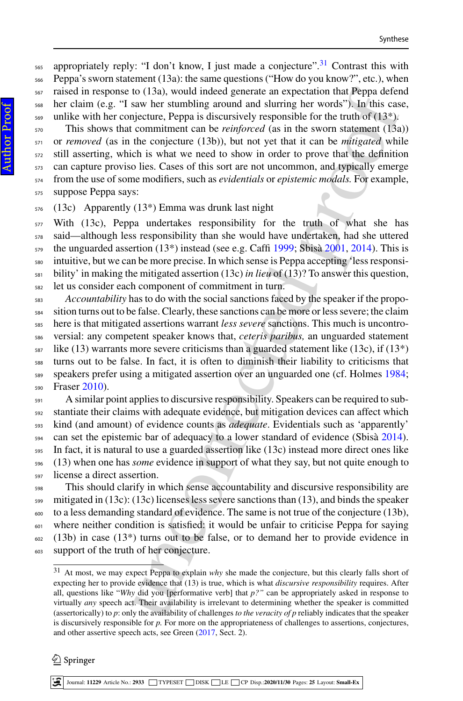$_{565}$  appropriately reply: "I don't know, I just made a conjecture".<sup>31</sup> Contrast this with Peppa's sworn statement (13a): the same questions ("How do you know?", etc.), when raised in response to (13a), would indeed generate an expectation that Peppa defend her claim (e.g. "I saw her stumbling around and slurring her words"). In this case, unlike with her conjecture, Peppa is discursively responsible for the truth of (13\*).

 This shows that commitment can be *reinforced* (as in the sworn statement (13a)) or *removed* (as in the conjecture (13b)), but not yet that it can be *mitigated* while still asserting, which is what we need to show in order to prove that the definition can capture proviso lies. Cases of this sort are not uncommon, and typically emerge from the use of some modifiers, such as *evidentials* or *epistemic modals.* For example, suppose Peppa says:

(13c) Apparently (13\*) Emma was drunk last night

 With (13c), Peppa undertakes responsibility for the truth of what she has said—although less responsibility than she would have undertaken, had she uttered the unguarded assertion (13<sup>\*</sup>) instead (see e.g. Caffi [1999;](#page-21-26) Sbisà 2001, 2014). This is intuitive, but we can be more precise. In which sense is Peppa accepting 'less responsi- bility' in making the mitigated assertion (13c) *in lieu* of (13)? To answer this question, let us consider each component of commitment in turn.

to (13a), would indeed generate an ex[p](#page-23-34)ercistion that Peppa deformed the operator of the operator that separation the example in entropied (3s in the symplectic commitment can be *reinforced* (as in the symplectic discursi *Accountability* has to do with the social sanctions faced by the speaker if the propo- sition turns out to be false. Clearly, these sanctions can be more or less severe; the claim here is that mitigated assertions warrant *less severe* sanctions. This much is uncontro- versial: any competent speaker knows that, *ceteris paribus,* an unguarded statement like (13) warrants more severe criticisms than a guarded statement like (13c), if (13\*) turns out to be false. In fact, it is often to diminish their liability to criticisms that speakers prefer using a mitigated assertion over an unguarded one (cf. Holmes [1984;](#page-22-38) Fraser [2010\)](#page-21-35).

 A similar point applies to discursive responsibility. Speakers can be required to sub- stantiate their claims with adequate evidence, but mitigation devices can affect which kind (and amount) of evidence counts as *adequate*. Evidentials such as 'apparently' <sub>594</sub> can set the epistemic bar of adequacy to a lower standard of evidence (Sbisà [2014\)](#page-23-37). In fact, it is natural to use a guarded assertion like (13c) instead more direct ones like (13) when one has *some* evidence in support of what they say, but not quite enough to license a direct assertion.

 This should clarify in which sense accountability and discursive responsibility are mitigated in (13c): (13c) licenses less severe sanctions than (13), and binds the speaker to a less demanding standard of evidence. The same is not true of the conjecture (13b), where neither condition is satisfied: it would be unfair to criticise Peppa for saying (13b) in case (13<sup>\*</sup>) turns out to be false, or to demand her to provide evidence in support of the truth of her conjecture.

### $\textcircled{2}$  Springer

<span id="page-17-0"></span> At most, we may expect Peppa to explain *why* she made the conjecture, but this clearly falls short of expecting her to provide evidence that (13) is true, which is what *discursive responsibility* requires. After all, questions like "*Why* did you [performative verb] that *p?"* can be appropriately asked in response to virtually *any* speech act. Their availability is irrelevant to determining whether the speaker is committed (assertorically) to *p*: only the availability of challenges *to the veracity of p* reliably indicates that the speaker is discursively responsible for *p.* For more on the appropriateness of challenges to assertions, conjectures, and other assertive speech acts, see Green [\(2017,](#page-22-24) Sect. 2).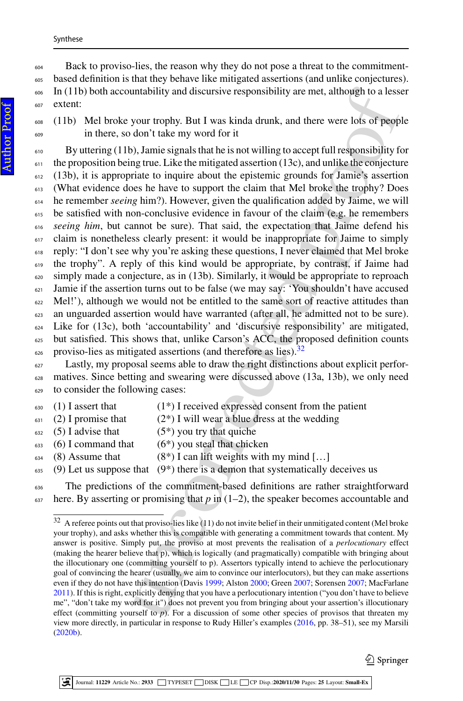Back to proviso-lies, the reason why they do not pose a threat to the commitment- based definition is that they behave like mitigated assertions (and unlike conjectures). In (11b) both accountability and discursive responsibility are met, although to a lesser extent:

 (11b) Mel broke your trophy. But I was kinda drunk, and there were lots of people in there, so don't take my word for it

Intability and discursiv[e](#page-18-0) responsibility are met, although to a less<br>your trophy. But I was kinda drunk, and there were lots of peopl<br>don't take my word for it<br>don't take my word for it<br> $\mu$ ,), lame is<br>ginals that he is n By uttering (11b), Jamie signals that he is not willing to accept full responsibility for the proposition being true. Like the mitigated assertion (13c), and unlike the conjecture (13b), it is appropriate to inquire about the epistemic grounds for Jamie's assertion (What evidence does he have to support the claim that Mel broke the trophy? Does he remember *seeing* him?). However, given the qualification added by Jaime, we will 615 be satisfied with non-conclusive evidence in favour of the claim (e.g. he remembers *seeing him*, but cannot be sure). That said, the expectation that Jaime defend his claim is nonetheless clearly present: it would be inappropriate for Jaime to simply reply: "I don't see why you're asking these questions, I never claimed that Mel broke the trophy". A reply of this kind would be appropriate, by contrast, if Jaime had simply made a conjecture, as in (13b). Similarly, it would be appropriate to reproach Jamie if the assertion turns out to be false (we may say: 'You shouldn't have accused Mel!'), although we would not be entitled to the same sort of reactive attitudes than an unguarded assertion would have warranted (after all, he admitted not to be sure). Like for (13c), both 'accountability' and 'discursive responsibility' are mitigated, but satisfied. This shows that, unlike Carson's ACC, the proposed definition counts  $\frac{1}{266}$  proviso-lies as mitigated assertions (and therefore as lies).<sup>32</sup>

 Lastly, my proposal seems able to draw the right distinctions about explicit perfor- matives. Since betting and swearing were discussed above (13a, 13b), we only need to consider the following cases:

- $\epsilon_{630}$  (1) I assert that (1\*) I received expressed consent from the patient
- (2) I promise that (2<sup>\*</sup>) I will wear a blue dress at the wedding
- (5) I advise that (5<sup>\*</sup>) you try that quiche
- (6) I command that (6<sup>\*</sup>) you steal that chicken
- $\begin{bmatrix} 634 & (8) \end{bmatrix}$  Assume that  $(8^*)$  I can lift weights with my mind [...]
- (9) Let us suppose that (9<sup>\*</sup>) there is a demon that systematically deceives us

 The predictions of the commitment-based definitions are rather straightforward here. By asserting or promising that p in  $(1-2)$ , the speaker becomes accountable and

<span id="page-18-0"></span> A referee points out that proviso-lies like (11) do not invite belief in their unmitigated content (Mel broke your trophy), and asks whether this is compatible with generating a commitment towards that content. My answer is positive. Simply put, the proviso at most prevents the realisation of a *perlocutionary* effect (making the hearer believe that p), which is logically (and pragmatically) compatible with bringing about the illocutionary one (committing yourself to p). Assertors typically intend to achieve the perlocutionary goal of convincing the hearer (usually, we aim to convince our interlocutors), but they can make assertions even if they do not have this intention (Davis 1999; Alston 2000; Green 2007; Sorensen [2007;](#page-23-3) MacFarlane [2011\)](#page-22-27). If this is right, explicitly denying that you have a perlocutionary intention ("you don't have to believe me", "don't take my word for it") does not prevent you from bringing about your assertion's illocutionary effect (committing yourself to *p*). For a discussion of some other species of provisos that threaten my view more directly, in particular in response to Rudy Hiller's examples [\(2016,](#page-23-38) pp. 38–51), see my Marsili [\(2020b\)](#page-22-20).

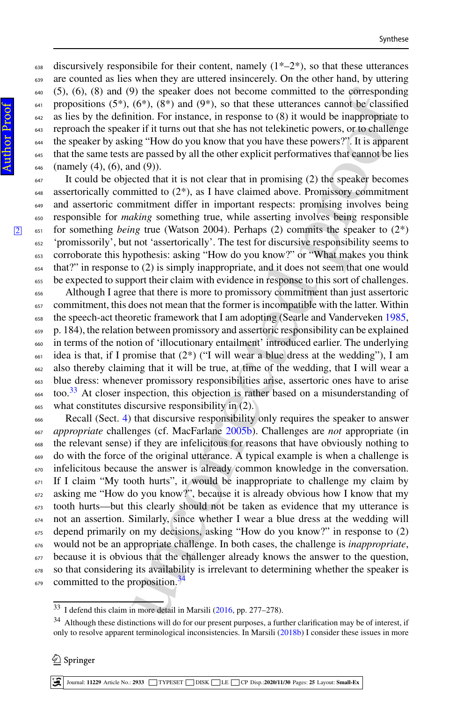638 discursively responsibile for their content, namely  $(1^*-2^*)$ , so that these utterances are counted as lies when they are uttered insincerely. On the other hand, by uttering (5), (6), (8) and (9) the speaker does not become committed to the corresponding 641 propositions  $(5^*)$ ,  $(6^*)$ ,  $(8^*)$  and  $(9^*)$ , so that these utterances cannot be classified as lies by the definition. For instance, in response to (8) it would be inappropriate to reproach the speaker if it turns out that she has not telekinetic powers, or to challenge the speaker by asking "How do you know that you have these powers?". It is apparent that the same tests are passed by all the other explicit performatives that cannot be lies 646 (namely  $(4)$ ,  $(6)$ , and  $(9)$ ).

 It could be objected that it is not clear that in promising (2) the speaker becomes 648 assertorically committed to  $(2^*)$ , as I have claimed above. Promissory commitment and assertoric commitment differ in important respects: promising involves being responsible for *making* something true, while asserting involves being responsible <sup>651</sup> for something *being* true (Watson 2004). Perhaps (2) commits the speaker to (2\*) 'promissorily', but not 'assertorically'. The test for discursive responsibility seems to corroborate this hypothesis: asking "How do you know?" or "What makes you think that?" in response to (2) is simply inappropriate, and it does not seem that one would be expected to support their claim with evidence in response to this sort of challenges.

 Although I agree that there is more to promissory commitment than just assertoric commitment, this does not mean that the former is incompatible with the latter. Within the speech-act theoretic framework that I am adopting (Searle and Vanderveken [1985,](#page-23-21) p. 184), the relation between promissory and assertoric responsibility can be explained in terms of the notion of 'illocutionary entailment' introduced earlier. The underlying idea is that, if I promise that  $(2^*)$  ("I will wear a blue dress at the wedding"), I am also thereby claiming that it will be true, at time of the wedding, that I will wear a blue dress: whenever promissory responsibilities arise, assertoric ones have to arise  $\frac{33}{4}$  $\frac{33}{4}$  $\frac{33}{4}$  too.<sup>33</sup> At closer inspection, this objection is rather based on a misunderstanding of what constitutes discursive responsibility in (2).

3) the speaker does not become committed to the op[re](#page-22-35)sponding<br>(6\*), (8\*) and (9\*), so that these uttentness cannot be classified<br>infor. For instance, in response to (8) it would be inappropriate the<br>rif it turns out that s Recall (Sect. [4\)](#page-13-0) that discursive responsibility only requires the speaker to answer *appropriate* challenges (cf. MacFarlane 2005b). Challenges are *not* appropriate (in the relevant sense) if they are infelicitous for reasons that have obviously nothing to do with the force of the original utterance. A typical example is when a challenge is infelicitous because the answer is already common knowledge in the conversation. If I claim "My tooth hurts", it would be inappropriate to challenge my claim by asking me "How do you know?", because it is already obvious how I know that my tooth hurts—but this clearly should not be taken as evidence that my utterance is not an assertion. Similarly, since whether I wear a blue dress at the wedding will depend primarily on my decisions, asking "How do you know?" in response to (2) would not be an appropriate challenge. In both cases, the challenge is *inappropriate*, because it is obvious that the challenger already knows the answer to the question, so that considering its availability is irrelevant to determining whether the speaker is committed to the proposition.<sup>34</sup>

<span id="page-19-0"></span>I defend this claim in more detail in Marsili (2016, pp. 277–278).

<span id="page-19-1"></span><sup>&</sup>lt;sup>34</sup> Although these distinctions will do for our present purposes, a further clarification may be of interest, if only to resolve apparent terminological inconsistencies. In Marsili [\(2018b\)](#page-22-31) I consider these issues in more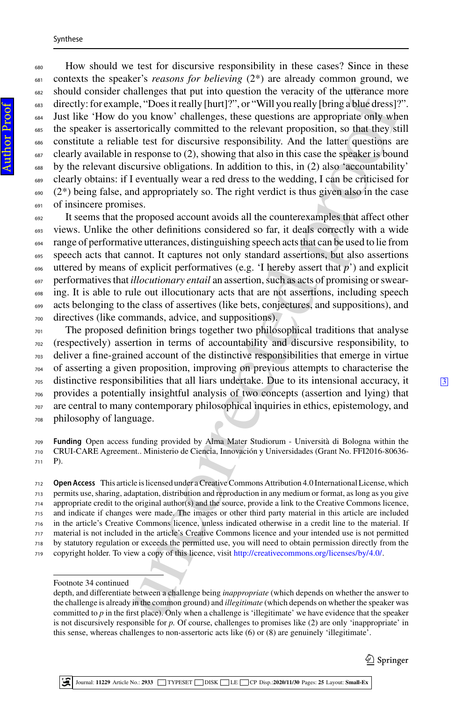allelapses that put into question the veracity of the ultranes model<br>the, "Does it really [hand]", or "Will you really [bring a blue dreas]?<br>you know' challenges, these questions are appropriate only whe<br>fortorcially commi How should we test for discursive responsibility in these cases? Since in these contexts the speaker's *reasons for believing* (2\*) are already common ground, we should consider challenges that put into question the veracity of the utterance more directly: for example, "Does it really [hurt]?", or "Will you really [bring a blue dress]?". Just like 'How do you know' challenges, these questions are appropriate only when the speaker is assertorically committed to the relevant proposition, so that they still constitute a reliable test for discursive responsibility. And the latter questions are clearly available in response to (2), showing that also in this case the speaker is bound by the relevant discursive obligations. In addition to this, in (2) also 'accountability' clearly obtains: if I eventually wear a red dress to the wedding, I can be criticised for  $690 \quad (2^*)$  being false, and appropriately so. The right verdict is thus given also in the case of insincere promises.

 It seems that the proposed account avoids all the counterexamples that affect other views. Unlike the other definitions considered so far, it deals correctly with a wide range of performative utterances, distinguishing speech acts that can be used to lie from speech acts that cannot. It captures not only standard assertions, but also assertions uttered by means of explicit performatives (e.g. 'I hereby assert that *p*') and explicit performatives that *illocutionary entail* an assertion, such as acts of promising or swear-<sub>698</sub> ing. It is able to rule out illocutionary acts that are not assertions, including speech acts belonging to the class of assertives (like bets, conjectures, and suppositions), and directives (like commands, advice, and suppositions).

 The proposed definition brings together two philosophical traditions that analyse (respectively) assertion in terms of accountability and discursive responsibility, to deliver a fine-grained account of the distinctive responsibilities that emerge in virtue of asserting a given proposition, improving on previous attempts to characterise the  $\frac{705}{205}$  distinctive responsibilities that all liars undertake. Due to its intensional accuracy, it provides a potentially insightful analysis of two concepts (assertion and lying) that are central to many contemporary philosophical inquiries in ethics, epistemology, and philosophy of language.

 **Funding** Open access funding provided by Alma Mater Studiorum - Università di Bologna within the CRUI-CARE Agreement.. Ministerio de Ciencia, Innovación y Universidades (Grant No. FFI2016-80636- P).

 **Open Access** This article is licensed under a Creative Commons Attribution 4.0 International License, which permits use, sharing, adaptation, distribution and reproduction in any medium or format, as long as you give appropriate credit to the original author(s) and the source, provide a link to the Creative Commons licence, and indicate if changes were made. The images or other third party material in this article are included in the article's Creative Commons licence, unless indicated otherwise in a credit line to the material. If material is not included in the article's Creative Commons licence and your intended use is not permitted by statutory regulation or exceeds the permitted use, you will need to obtain permission directly from the copyright holder. To view a copy of this licence, visit [http://creativecommons.org/licenses/by/4.0/.](http://creativecommons.org/licenses/by/4.0/)

#### Footnote 34 continued

depth, and differentiate between a challenge being *inappropriate* (which depends on whether the answer to the challenge is already in the common ground) and *illegitimate* (which depends on whether the speaker was committed to *p* in the first place). Only when a challenge is 'illegitimate' we have evidence that the speaker is not discursively responsible for *p.* Of course, challenges to promises like (2) are only 'inappropriate' in this sense, whereas challenges to non-assertoric acts like (6) or (8) are genuinely 'illegitimate'.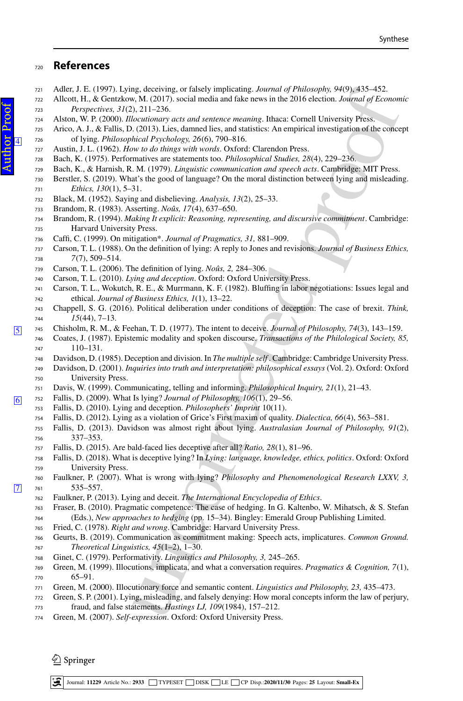## **References**

- <span id="page-21-18"></span>Adler, J. E. (1997). Lying, deceiving, or falsely implicating. *Journal of Philosophy, 94*(9), 435–452.
- <span id="page-21-1"></span> Allcott, H., & Gentzkow, M. (2017). social media and fake news in the 2016 election. *Journal of Economic Perspectives, 31*(2), 211–236.
- <span id="page-21-32"></span>Alston, W. P. (2000). *Illocutionary acts and sentence meaning*. Ithaca: Cornell University Press.
- <span id="page-21-5"></span> Arico, A. J., & Fallis, D. (2013). Lies, damned lies, and statistics: An empirical investigation of the concept <sup>726</sup> of lying. *Philosophical Psychology, 26*(6), 790–816.
- <span id="page-21-15"></span>Austin, J. L. (1962). *How to do things with words*. Oxford: Clarendon Press.
- Bach, K. (1975). Performatives are statements too. *Philosophical Studies, 28*(4), 229–236.
- <span id="page-21-17"></span>Bach, K., & Harnish, R. M. (1979). *Linguistic communication and speech acts*. Cambridge: MIT Press.
- <span id="page-21-19"></span> Berstler, S. (2019). What's the good of language? On the moral distinction between lying and misleading. *Ethics, 130*(1), 5–31.
- <span id="page-21-24"></span>Black, M. (1952). Saying and disbelieving. *Analysis, 13*(2), 25–33.
- <span id="page-21-27"></span>Brandom, R. (1983). Asserting. *Noûs, 17*(4), 637–650.
- <span id="page-21-28"></span> Brandom, R. (1994). *Making It explicit: Reasoning, representing, and discursive commitment*. Cambridge: Harvard University Press.
- <span id="page-21-26"></span>Caffi, C. (1999). On mitigation\*. *Journal of Pragmatics, 31,* 881–909.
- <span id="page-21-25"></span> Carson, T. L. (1988). On the definition of lying: A reply to Jones and revisions. *Journal of Business Ethics, 7*(7), 509–514.
- <span id="page-21-4"></span>Carson, T. L. (2006). The definition of lying. *Noûs, 2,* 284–306.
- <span id="page-21-10"></span>Carson, T. L. (2010). *Lying and deception*. Oxford: Oxford University Press.
- <span id="page-21-3"></span> Carson, T. L., Wokutch, R. E., & Murrmann, K. F. (1982). Bluffing in labor negotiations: Issues legal and ethical. *Journal of Business Ethics, 1*(1), 13–22.
- <span id="page-21-33"></span><span id="page-21-7"></span><span id="page-21-0"></span> Chappell, S. G. (2016). Political deliberation under conditions of deception: The case of brexit. *Think, 15*(44), 7–13.
- <span id="page-21-22"></span><sup>745</sup> Chisholm, R. M., & Feehan, T. D. (1977). The intent to deceive. *Journal of Philosophy, 74*(3), 143–159.
	- Coates, J. (1987). Epistemic modality and spoken discourse. *Transactions of the Philological Society, 85,* 110–131.
	- Davidson, D. (1985). Deception and division. In *The multiple self* . Cambridge: Cambridge University Press.
- m<sub>2</sub> decision; or findely implicating, *burnal of Philosophy,* 33-452.<br>
A.M. (2017), sucial media and fake news in the 2016 clection. *Journal of Econom*<br> *Correctionary acts and sentence meaning*, thaca: Cornel Universit Davidson, D. (2001). *Inquiries into truth and interpretation: philosophical essays* (Vol. 2). Oxford: Oxford University Press.
	- Davis, W. (1999). Communicating, telling and informing. *Philosophical Inquiry, 21*(1), 21–43.
- <span id="page-21-36"></span><span id="page-21-23"></span><span id="page-21-20"></span><span id="page-21-11"></span><span id="page-21-9"></span><span id="page-21-8"></span><sup>752</sup> Fallis, D. (2009). What Is lying? *Journal of Philosophy, 106*(1), 29–56.
	- Fallis, D. (2010). Lying and deception. *Philosophers' Imprint* 10(11).
	- Fallis, D. (2012). Lying as a violation of Grice's First maxim of quality. *Dialectica, 66*(4), 563–581.
	- Fallis, D. (2013). Davidson was almost right about lying. *Australasian Journal of Philosophy, 91*(2), 337–353.
	- Fallis, D. (2015). Are bald-faced lies deceptive after all? *Ratio, 28*(1), 81–96.
	- Fallis, D. (2018). What is deceptive lying? In *Lying: language, knowledge, ethics, politics*. Oxford: Oxford University Press.
- <span id="page-21-35"></span><span id="page-21-34"></span><span id="page-21-16"></span><span id="page-21-14"></span><span id="page-21-13"></span><span id="page-21-12"></span><span id="page-21-6"></span><span id="page-21-2"></span> Faulkner, P. (2007). What is wrong with lying? *Philosophy and Phenomenological Research LXXV, 3,*  $\sqrt{7}$  $\sqrt{7}$  $\sqrt{7}$   $\sqrt{7}$   $\sqrt{7}$   $\sqrt{7}$   $\sqrt{7}$   $\sqrt{7}$   $\sqrt{7}$   $\sqrt{7}$   $\sqrt{7}$   $\sqrt{7}$   $\sqrt{7}$   $\sqrt{7}$   $\sqrt{7}$   $\sqrt{7}$   $\sqrt{7}$   $\sqrt{7}$   $\sqrt{7}$   $\sqrt{7}$   $\sqrt{7}$   $\sqrt{7}$   $\sqrt{7}$   $\sqrt{7}$   $\sqrt{7}$   $\sqrt{7}$   $\sqrt{7}$   $\sqrt{7}$   $\sqrt{7}$   $\sqrt{7$ 
	- Faulkner, P. (2013). Lying and deceit. *The International Encyclopedia of Ethics*.
	- Fraser, B. (2010). Pragmatic competence: The case of hedging. In G. Kaltenbo, W. Mihatsch, & S. Stefan
	- (Eds.), *New approaches to hedging* (pp. 15–34). Bingley: Emerald Group Publishing Limited.
	- Fried, C. (1978). *Right and wrong*. Cambridge: Harvard University Press.
	- Geurts, B. (2019). Communication as commitment making: Speech acts, implicatures. *Common Ground. Theoretical Linguistics, 45*(1–2), 1–30.
	- Ginet, C. (1979). Performativity. *Linguistics and Philosophy, 3,* 245–265.
	- Green, M. (1999). Illocutions, implicata, and what a conversation requires. *Pragmatics & Cognition, 7*(1), 65–91.
	- Green, M. (2000). Illocutionary force and semantic content. *Linguistics and Philosophy, 23,* 435–473.
	- Green, S. P. (2001). Lying, misleading, and falsely denying: How moral concepts inform the law of perjury, fraud, and false statements. *Hastings LJ, 109*(1984), 157–212.
	- Green, M. (2007). *Self-expression*. Oxford: Oxford University Press.

<span id="page-21-31"></span><span id="page-21-30"></span><span id="page-21-29"></span><span id="page-21-21"></span> $\textcircled{2}$  Springer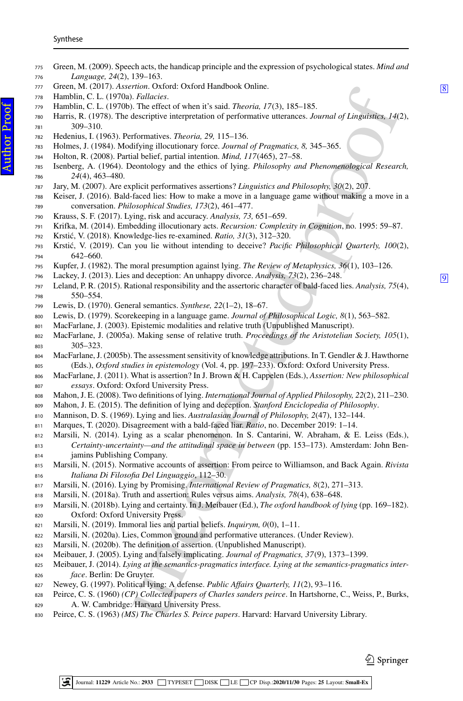- <span id="page-22-36"></span><span id="page-22-34"></span><span id="page-22-24"></span>rian. Constant Constant (Marticles Constant Constant Constant Constant Constant Constant Constant Constant Constant Constant Constant Constant Constant Constant Constant Constant Constant Constant Constant Constant Consta Green, M. (2009). Speech acts, the handicap principle and the expression of psychological states. *Mind and Language, 24*(2), 139–163. 777 Green, M. (2017). *Assertion*. Oxford: Oxford Handbook Online. [8](#page-0-7)<br> **Hamblin C. L.** (1970a). *Fallacies* Hamblin, C. L. (1970a). *Fallacies*. Hamblin, C. L. (1970b). The effect of when it's said. *Theoria, 17*(3), 185–185. Harris, R. (1978). The descriptive interpretation of performative utterances. *Journal of Linguistics, 14*(2), 309–310.
- <span id="page-22-37"></span><span id="page-22-16"></span><span id="page-22-14"></span>Hedenius, I. (1963). Performatives. *Theoria, 29,* 115–136.
- <span id="page-22-38"></span>Holmes, J. (1984). Modifying illocutionary force. *Journal of Pragmatics, 8,* 345–365.
- <span id="page-22-23"></span>Holton, R. (2008). Partial belief, partial intention. *Mind, 117*(465), 27–58.
- <span id="page-22-2"></span> Isenberg, A. (1964). Deontology and the ethics of lying. *Philosophy and Phenomenological Research, 24*(4), 463–480.
- <span id="page-22-17"></span>Jary, M. (2007). Are explicit performatives assertions? *Linguistics and Philosophy, 30*(2), 207.
- <span id="page-22-19"></span> Keiser, J. (2016). Bald-faced lies: How to make a move in a language game without making a move in a conversation. *Philosophical Studies, 173*(2), 461–477.
- <span id="page-22-18"></span>Krauss, S. F. (2017). Lying, risk and accuracy. *Analysis, 73,* 651–659.
- <span id="page-22-28"></span>Krifka, M. (2014). Embedding illocutionary acts. *Recursion: Complexity in Cognition*, no. 1995: 59–87.
- <span id="page-22-5"></span>Krsti´c, V. (2018). Knowledge-lies re-examined. *Ratio, 31*(3), 312–320.
- <span id="page-22-6"></span> Krsti´c, V. (2019). Can you lie without intending to deceive? *Pacific Philosophical Quarterly, 100*(2), 642–660.
- <span id="page-22-10"></span>Kupfer, J. (1982). The moral presumption against lying. *The Review of Metaphysics, 36*(1), 103–126.
- <span id="page-22-4"></span><span id="page-22-0"></span>7[9](#page-0-8)6 Lackey, J. (2013). Lies and deception: An unhappy divorce. *Analysis*, 73(2), 236–248. **9**<br>797 Leland P.R. (2015). Rational responsibility and the assertoric character of bald-faced lies *Analysis*, 75(4)
- <span id="page-22-33"></span>Leland, P. R. (2015). Rational responsibility and the assertoric character of bald-faced lies. *Analysis*, 75(4), 550–554.
- <span id="page-22-15"></span>Lewis, D. (1970). General semantics. *Synthese, 22*(1–2), 18–67.
- <span id="page-22-21"></span>Lewis, D. (1979). Scorekeeping in a language game. *Journal of Philosophical Logic, 8*(1), 563–582.
- <span id="page-22-25"></span>MacFarlane, J. (2003). Epistemic modalities and relative truth (Unpublished Manuscript).
- <span id="page-22-26"></span> MacFarlane, J. (2005a). Making sense of relative truth. *Proceedings of the Aristotelian Society, 105*(1), 305–323.
- <span id="page-22-35"></span> MacFarlane, J. (2005b). The assessment sensitivity of knowledge attributions. In T. Gendler & J. Hawthorne (Eds.), *Oxford studies in epistemology* (Vol. 4, pp. 197–233). Oxford: Oxford University Press.
- <span id="page-22-27"></span> MacFarlane, J. (2011). What is assertion? In J. Brown & H. Cappelen (Eds.), *Assertion: New philosophical essays*. Oxford: Oxford University Press.
- <span id="page-22-3"></span>Mahon, J. E. (2008). Two definitions of lying. *International Journal of Applied Philosophy, 22*(2), 211–230.
- <span id="page-22-1"></span>Mahon, J. E. (2015). The definition of lying and deception. *Stanford Enciclopedia of Philosophy*.
- <span id="page-22-9"></span>Mannison, D. S. (1969). Lying and lies. *Australasian Journal of Philosophy, 2*(47), 132–144.
- <span id="page-22-7"></span>Marques, T. (2020). Disagreement with a bald-faced liar. *Ratio*, no. December 2019: 1–14.
- <span id="page-22-29"></span> Marsili, N. (2014). Lying as a scalar phenomenon. In S. Cantarini, W. Abraham, & E. Leiss (Eds.), *Certainty-uncertainty—and the attitudinal space in between* (pp. 153–173). Amsterdam: John Ben-
- jamins Publishing Company.
- <span id="page-22-39"></span> Marsili, N. (2015). Normative accounts of assertion: From peirce to Williamson, and Back Again. *Rivista Italiana Di Filosofia Del Linguaggio*, 112–30.
- <span id="page-22-13"></span>Marsili, N. (2016). Lying by Promising. *International Review of Pragmatics, 8*(2), 271–313.
- <span id="page-22-30"></span>Marsili, N. (2018a). Truth and assertion: Rules versus aims. *Analysis, 78*(4), 638–648.
- <span id="page-22-31"></span> Marsili, N. (2018b). Lying and certainty. In J. Meibauer (Ed.), *The oxford handbook of lying* (pp. 169–182). Oxford: Oxford University Press.
- <span id="page-22-32"></span>Marsili, N. (2019). Immoral lies and partial beliefs. *Inquirym, 0*(0), 1–11.
- <span id="page-22-22"></span>Marsili, N. (2020a). Lies, Common ground and performative utterances. (Under Review).
- <span id="page-22-20"></span>Marsili, N. (2020b). The definition of assertion. (Unpublished Manuscript).
- <span id="page-22-12"></span>Meibauer, J. (2005). Lying and falsely implicating. *Journal of Pragmatics, 37*(9), 1373–1399.
- <span id="page-22-8"></span> Meibauer, J. (2014). *Lying at the semantics-pragmatics interface. Lying at the semantics-pragmatics inter-face*. Berlin: De Gruyter.
- <span id="page-22-11"></span>Newey, G. (1997). Political lying: A defense. *Public Affairs Quarterly, 11*(2), 93–116.
- Peirce, C. S. (1960) *(CP) Collected papers of Charles sanders peirce*. In Hartshorne, C., Weiss, P., Burks, A. W. Cambridge: Harvard University Press.
- Peirce, C. S. (1963) *(MS) The Charles S. Peirce papers*. Harvard: Harvard University Library.

 $\mathcal{Q}$  Springer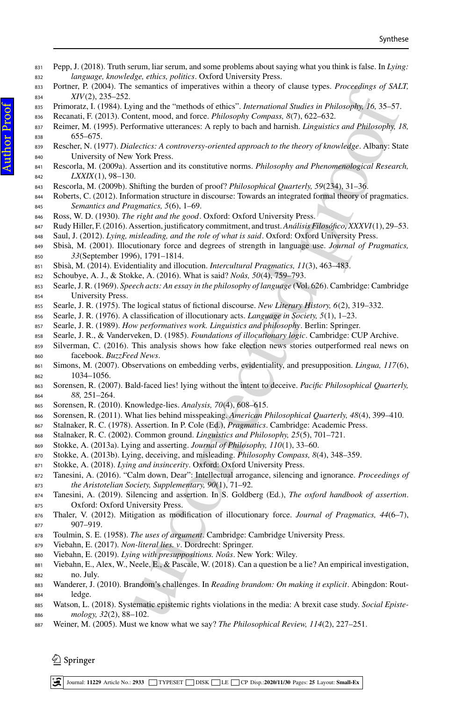- <span id="page-23-26"></span> Pepp, J. (2018). Truth serum, liar serum, and some problems about saying what you think is false. In *Lying: language, knowledge, ethics, politics*. Oxford University Press.
- <span id="page-23-17"></span> Portner, P. (2004). The semantics of imperatives within a theory of clause types. *Proceedings of SALT, XIV*(2), 235–252.
- <span id="page-23-2"></span>Primoratz, I. (1984). Lying and the "methods of ethics". *International Studies in Philosophy, 16,* 35–57.
- <span id="page-23-13"></span>Recanati, F. (2013). Content, mood, and force. *Philosophy Compass, 8*(7), 622–632.
- <span id="page-23-11"></span> Reimer, M. (1995). Performative utterances: A reply to bach and harnish. *Linguistics and Philosophy, 18,* 655–675.
- sentings on unperators within a uncay or causes (yes, *rincealings in*) <br>ing and the "mehado of ethics". International Stadies is *Perheculary in*<br>the methal mood, and force. *Philosophy Compass*,  $8(7)$ ,  $622-683$ .<br> Rescher, N. (1977). *Dialectics: A controversy-oriented approach to the theory of knowledge*. Albany: State University of New York Press.
- <span id="page-23-32"></span><span id="page-23-22"></span> Rescorla, M. (2009a). Assertion and its constitutive norms. *Philosophy and Phenomenological Research, LXXIX*(1), 98–130.
- <span id="page-23-33"></span>Rescorla, M. (2009b). Shifting the burden of proof? *Philosophical Quarterly, 59*(234), 31–36.
- <span id="page-23-18"></span> Roberts, C. (2012). Information structure in discourse: Towards an integrated formal theory of pragmatics. *Semantics and Pragmatics, 5*(6), 1–69.
- <span id="page-23-10"></span>Ross, W. D. (1930). *The right and the good*. Oxford: Oxford University Press.
- <span id="page-23-38"></span>Rudy Hiller, F. (2016). Assertion, justificatory commitment, and trust. *Análisis Filosófico, XXXVI*(1), 29–53.
- <span id="page-23-5"></span>Saul, J. (2012). *Lying, misleading, and the role of what is said*. Oxford: Oxford University Press.
- <span id="page-23-34"></span> Sbisà, M. (2001). Illocutionary force and degrees of strength in language use. *Journal of Pragmatics, 33*(September 1996), 1791–1814.
- <span id="page-23-37"></span>Sbisà, M. (2014). Evidentiality and illocution. *Intercultural Pragmatics, 11*(3), 463–483.
- Schoubye, A. J., & Stokke, A. (2016). What is said? *Noûs, 50*(4), 759–793.
- <span id="page-23-19"></span> Searle, J. R. (1969). *Speech acts: An essay in the philosophy of language* (Vol. 626). Cambridge: Cambridge University Press.
- <span id="page-23-20"></span>Searle, J. R. (1975). The logical status of fictional discourse. *New Literary History, 6*(2), 319–332.
- <span id="page-23-14"></span>Searle, J. R. (1976). A classification of illocutionary acts. *Language in Society, 5*(1), 1–23.
- <span id="page-23-9"></span>Searle, J. R. (1989). *How performatives work. Linguistics and philosophy*. Berlin: Springer.
- <span id="page-23-21"></span>Searle, J. R., & Vanderveken, D. (1985). *Foundations of illocutionary logic*. Cambridge: CUP Archive.
- <span id="page-23-1"></span> Silverman, C. (2016). This analysis shows how fake election news stories outperformed real news on facebook. *BuzzFeed News*.
- <span id="page-23-35"></span> Simons, M. (2007). Observations on embedding verbs, evidentiality, and presupposition. *Lingua, 117*(6), 1034–1056.
- <span id="page-23-3"></span> Sorensen, R. (2007). Bald-faced lies! lying without the intent to deceive. *Pacific Philosophical Quarterly, 88,* 251–264.
- <span id="page-23-4"></span>Sorensen, R. (2010). Knowledge-lies. *Analysis, 70*(4), 608–615.
- <span id="page-23-25"></span>Sorensen, R. (2011). What lies behind misspeaking. *American Philosophical Quarterly, 48*(4), 399–410.
- <span id="page-23-15"></span>Stalnaker, R. C. (1978). Assertion. In P. Cole (Ed.), *Pragmatics*. Cambridge: Academic Press.
- <span id="page-23-16"></span>Stalnaker, R. C. (2002). Common ground. *Linguistics and Philosophy, 25*(5), 701–721.
- <span id="page-23-6"></span>Stokke, A. (2013a). Lying and asserting. *Journal of Philosophy, 110*(1), 33–60.
- <span id="page-23-7"></span>Stokke, A. (2013b). Lying, deceiving, and misleading. *Philosophy Compass, 8*(4), 348–359.
- <span id="page-23-8"></span>Stokke, A. (2018). *Lying and insincerity*. Oxford: Oxford University Press.
- <span id="page-23-23"></span> Tanesini, A. (2016). "Calm down, Dear": Intellectual arrogance, silencing and ignorance. *Proceedings of the Aristotelian Society, Supplementary, 90*(1), 71–92.
- <span id="page-23-24"></span> Tanesini, A. (2019). Silencing and assertion. In S. Goldberg (Ed.), *The oxford handbook of assertion*. Oxford: Oxford University Press.
- <span id="page-23-36"></span> Thaler, V. (2012). Mitigation as modification of illocutionary force. *Journal of Pragmatics, 44*(6–7), 907–919.
- <span id="page-23-30"></span>Toulmin, S. E. (1958). *The uses of argument*. Cambridge: Cambridge University Press.
- <span id="page-23-27"></span>Viebahn, E. (2017). *Non-literal lies. v*. Dordrecht: Springer.
- <span id="page-23-12"></span>Viebahn, E. (2019). *Lying with presuppositions. Noûs*. New York: Wiley.
- <span id="page-23-28"></span>881 Viebahn, E., Alex, W., Neele, E., & Pascale, W. (2018). Can a question be a lie? An empirical investigation, no. July.
- <span id="page-23-31"></span> Wanderer, J. (2010). Brandom's challenges. In *Reading brandom: On making it explicit*. Abingdon: Rout-ledge.
- <span id="page-23-0"></span> Watson, L. (2018). Systematic epistemic rights violations in the media: A brexit case study. *Social Episte-mology, 32*(2), 88–102.
- <span id="page-23-29"></span>Weiner, M. (2005). Must we know what we say? *The Philosophical Review, 114*(2), 227–251.

 $\textcircled{2}$  Springer